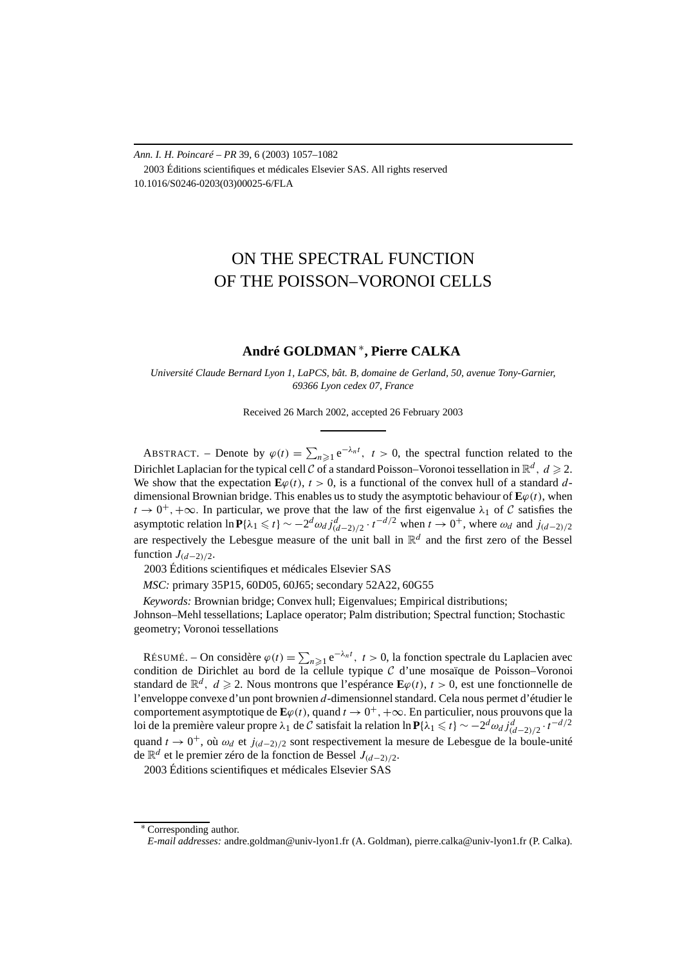*Ann. I. H. Poincaré – PR* 39, 6 (2003) 1057–1082 2003 Éditions scientifiques et médicales Elsevier SAS. All rights reserved 10.1016/S0246-0203(03)00025-6/FLA

# ON THE SPECTRAL FUNCTION OF THE POISSON–VORONOI CELLS

## **André GOLDMAN** <sup>∗</sup>**, Pierre CALKA**

*Université Claude Bernard Lyon 1, LaPCS, bât. B, domaine de Gerland, 50, avenue Tony-Garnier, 69366 Lyon cedex 07, France*

Received 26 March 2002, accepted 26 February 2003

ABSTRACT. – Denote by  $\varphi(t) = \sum_{n \geq 1} e^{-\lambda_n t}$ ,  $t > 0$ , the spectral function related to the Dirichlet Laplacian for the typical cell C of a standard Poisson–Voronoi tessellation in  $\mathbb{R}^d$ ,  $d \ge 2$ . We show that the expectation  $\mathbf{E}\varphi(t)$ ,  $t > 0$ , is a functional of the convex hull of a standard *d*dimensional Brownian bridge. This enables us to study the asymptotic behaviour of  $\mathbf{E}\varphi(t)$ , when  $t \to 0^+, +\infty$ . In particular, we prove that the law of the first eigenvalue  $\lambda_1$  of C satisfies the asymptotic relation  $\ln P{\lambda_1 \le t} \sim -2^d \omega_d j_{(d-2)/2}^d \cdot t^{-d/2}$  when  $t \to 0^+$ , where  $\omega_d$  and  $j_{(d-2)/2}$ are respectively the Lebesgue measure of the unit ball in  $\mathbb{R}^d$  and the first zero of the Bessel function  $J_{(d-2)/2}$ .

2003 Éditions scientifiques et médicales Elsevier SAS

*MSC:* primary 35P15, 60D05, 60J65; secondary 52A22, 60G55

*Keywords:* Brownian bridge; Convex hull; Eigenvalues; Empirical distributions; Johnson–Mehl tessellations; Laplace operator; Palm distribution; Spectral function; Stochastic geometry; Voronoi tessellations

RÉSUMÉ. – On considère  $\varphi(t) = \sum_{n \geq 1} e^{-\lambda_n t}$ ,  $t > 0$ , la fonction spectrale du Laplacien avec condition de Dirichlet au bord de la cellule typique  $C$  d'une mosaïque de Poisson–Voronoi standard de  $\mathbb{R}^d$ ,  $d \ge 2$ . Nous montrons que l'espérance  $\mathbf{E}\varphi(t)$ ,  $t > 0$ , est une fonctionnelle de l'enveloppe convexe d'un pont brownien *d*-dimensionnel standard. Cela nous permet d'étudier le comportement asymptotique de  $\mathbf{E}\varphi(t)$ , quand  $t \to 0^+, +\infty$ . En particulier, nous prouvons que la loi de la première valeur propre *λ*<sub>1</sub> de *C* satisfait la relation ln  $P$ {*λ*<sub>1</sub> ≤ *t*} ∼ −2<sup>*d</sup>ωd j*(*d*−2)/2 · *t*<sup>−*d*/2</sup></sup> quand *t* → 0+, où *ωd* et *j(d*<sup>−</sup>2*)/*<sup>2</sup> sont respectivement la mesure de Lebesgue de la boule-unité de R*<sup>d</sup>* et le premier zéro de la fonction de Bessel *J(d*<sup>−</sup>2*)/*2.

2003 Éditions scientifiques et médicales Elsevier SAS

Corresponding author.

*E-mail addresses:* andre.goldman@univ-lyon1.fr (A. Goldman), pierre.calka@univ-lyon1.fr (P. Calka).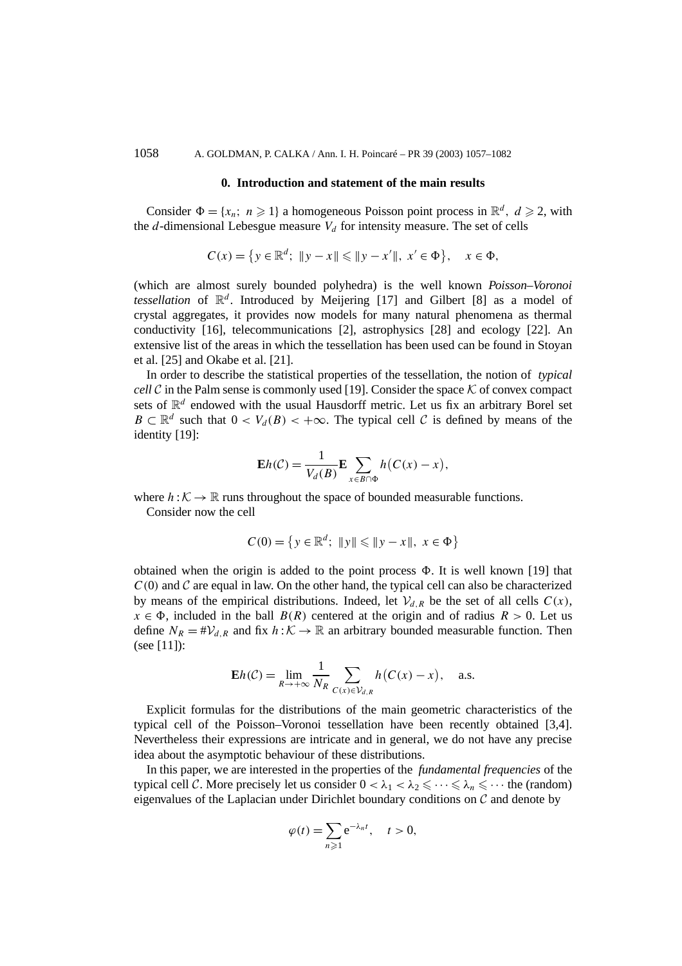## 1058 A. GOLDMAN, P. CALKA / Ann. I. H. Poincaré – PR 39 (2003) 1057–1082

## **0. Introduction and statement of the main results**

Consider  $\Phi = \{x_n; n \ge 1\}$  a homogeneous Poisson point process in  $\mathbb{R}^d$ ,  $d \ge 2$ , with the  $d$ -dimensional Lebesgue measure  $V_d$  for intensity measure. The set of cells

$$
C(x) = \{ y \in \mathbb{R}^d; \ \|y - x\| \leq \|y - x'\|, \ x' \in \Phi \}, \quad x \in \Phi,
$$

(which are almost surely bounded polyhedra) is the well known *Poisson–Voronoi tessellation* of  $\mathbb{R}^d$ . Introduced by Meijering [17] and Gilbert [8] as a model of crystal aggregates, it provides now models for many natural phenomena as thermal conductivity [16], telecommunications [2], astrophysics [28] and ecology [22]. An extensive list of the areas in which the tessellation has been used can be found in Stoyan et al. [25] and Okabe et al. [21].

In order to describe the statistical properties of the tessellation, the notion of *typical cell* C in the Palm sense is commonly used [19]. Consider the space  $K$  of convex compact sets of  $\mathbb{R}^d$  endowed with the usual Hausdorff metric. Let us fix an arbitrary Borel set *B* ⊂  $\mathbb{R}^d$  such that  $0 < V_d(B) < +\infty$ . The typical cell C is defined by means of the identity [19]:

$$
\mathbf{E}h(\mathcal{C}) = \frac{1}{V_d(B)} \mathbf{E} \sum_{x \in B \cap \Phi} h(C(x) - x),
$$

where  $h: \mathcal{K} \to \mathbb{R}$  runs throughout the space of bounded measurable functions.

Consider now the cell

$$
C(0) = \{ y \in \mathbb{R}^d; \ \|y\| \leq \|y - x\|, \ x \in \Phi \}
$$

obtained when the origin is added to the point process  $\Phi$ . It is well known [19] that  $C(0)$  and  $C$  are equal in law. On the other hand, the typical cell can also be characterized by means of the empirical distributions. Indeed, let  $V_{d,R}$  be the set of all cells  $C(x)$ ,  $x \in \Phi$ , included in the ball  $B(R)$  centered at the origin and of radius  $R > 0$ . Let us define  $N_R = #V_{d,R}$  and fix  $h: K \to \mathbb{R}$  an arbitrary bounded measurable function. Then (see [11]):

$$
\mathbf{E}h(\mathcal{C}) = \lim_{R \to +\infty} \frac{1}{N_R} \sum_{C(x) \in \mathcal{V}_{d,R}} h(C(x) - x), \quad \text{a.s.}
$$

Explicit formulas for the distributions of the main geometric characteristics of the typical cell of the Poisson–Voronoi tessellation have been recently obtained [3,4]. Nevertheless their expressions are intricate and in general, we do not have any precise idea about the asymptotic behaviour of these distributions.

In this paper, we are interested in the properties of the *fundamental frequencies* of the typical cell C. More precisely let us consider  $0 < \lambda_1 < \lambda_2 \leq \cdots \leq \lambda_n \leq \cdots$  the (random) eigenvalues of the Laplacian under Dirichlet boundary conditions on  $\mathcal C$  and denote by

$$
\varphi(t) = \sum_{n\geqslant 1} e^{-\lambda_n t}, \quad t > 0,
$$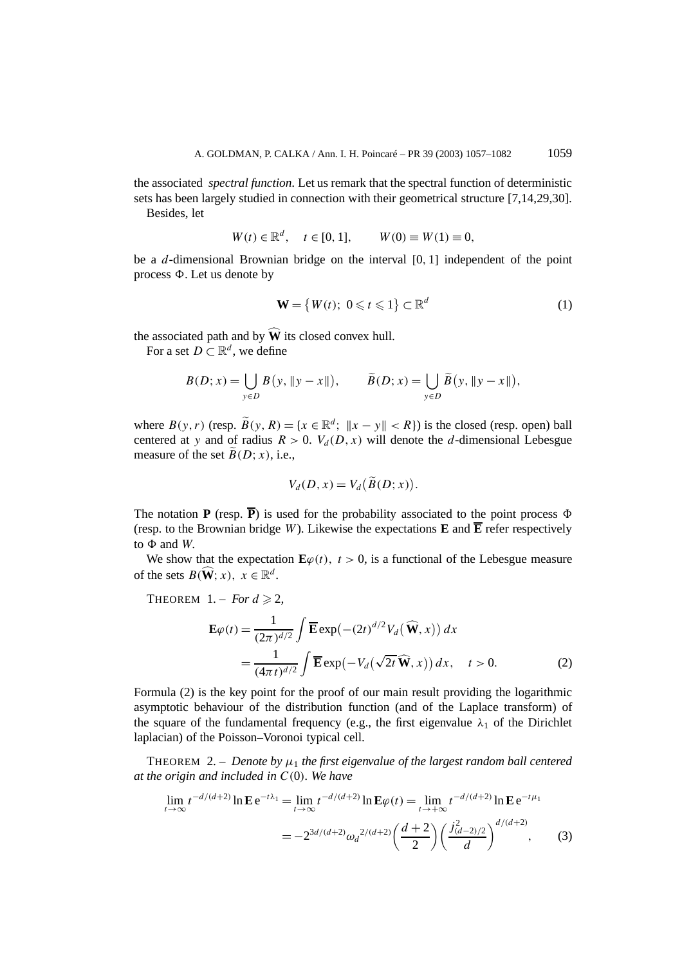the associated *spectral function*. Let us remark that the spectral function of deterministic sets has been largely studied in connection with their geometrical structure [7,14,29,30].

Besides, let

$$
W(t) \in \mathbb{R}^d
$$
,  $t \in [0, 1]$ ,  $W(0) \equiv W(1) \equiv 0$ ,

be a *d*-dimensional Brownian bridge on the interval [0*,* 1] independent of the point process  $\Phi$ . Let us denote by

$$
\mathbf{W} = \{ W(t); \ 0 \leq t \leq 1 \} \subset \mathbb{R}^d \tag{1}
$$

the associated path and by  $\widehat{W}$  its closed convex hull.

For a set  $D \subset \mathbb{R}^d$ , we define

$$
B(D; x) = \bigcup_{y \in D} B(y, \|y - x\|), \qquad \widetilde{B}(D; x) = \bigcup_{y \in D} \widetilde{B}(y, \|y - x\|),
$$

where  $B(y, r)$  (resp.  $\widetilde{B}(y, R) = \{x \in \mathbb{R}^d; \ \|x - y\| < R\}$ ) is the closed (resp. open) ball centered at *y* and of radius  $R > 0$ .  $V_d(D, x)$  will denote the *d*-dimensional Lebesgue measure of the set  $B(D; x)$ , i.e.,

$$
V_d(D, x) = V_d(\widetilde{B}(D; x)).
$$

The notation **P** (resp.  $\overline{P}$ ) is used for the probability associated to the point process  $\Phi$ (resp. to the Brownian bridge *W*). Likewise the expectations **E** and  $\overline{E}$  refer respectively to  $\Phi$  and *W*.

We show that the expectation  $\mathbf{E}\varphi(t)$ ,  $t > 0$ , is a functional of the Lebesgue measure of the sets  $B(\widehat{\mathbf{W}}; x)$ ,  $x \in \mathbb{R}^d$ .

THEOREM  $1. - For d \geq 2$ ,

$$
\mathbf{E}\varphi(t) = \frac{1}{(2\pi)^{d/2}} \int \overline{\mathbf{E}} \exp(-(2t)^{d/2} V_d(\widehat{\mathbf{W}}, x)) dx
$$
  
= 
$$
\frac{1}{(4\pi t)^{d/2}} \int \overline{\mathbf{E}} \exp(-V_d(\sqrt{2t}\widehat{\mathbf{W}}, x)) dx, \quad t > 0.
$$
 (2)

Formula (2) is the key point for the proof of our main result providing the logarithmic asymptotic behaviour of the distribution function (and of the Laplace transform) of the square of the fundamental frequency (e.g., the first eigenvalue  $\lambda_1$  of the Dirichlet laplacian) of the Poisson–Voronoi typical cell.

THEOREM 2. – *Denote by*  $\mu_1$  *the first eigenvalue of the largest random ball centered at the origin and included in C(*0*). We have*

$$
\lim_{t \to \infty} t^{-d/(d+2)} \ln \mathbf{E} e^{-t\lambda_1} = \lim_{t \to \infty} t^{-d/(d+2)} \ln \mathbf{E} \varphi(t) = \lim_{t \to +\infty} t^{-d/(d+2)} \ln \mathbf{E} e^{-t\mu_1}
$$

$$
= -2^{3d/(d+2)} \omega_d^{2/(d+2)} \left(\frac{d+2}{2}\right) \left(\frac{j_{(d-2)/2}^2}{d}\right)^{d/(d+2)},\tag{3}
$$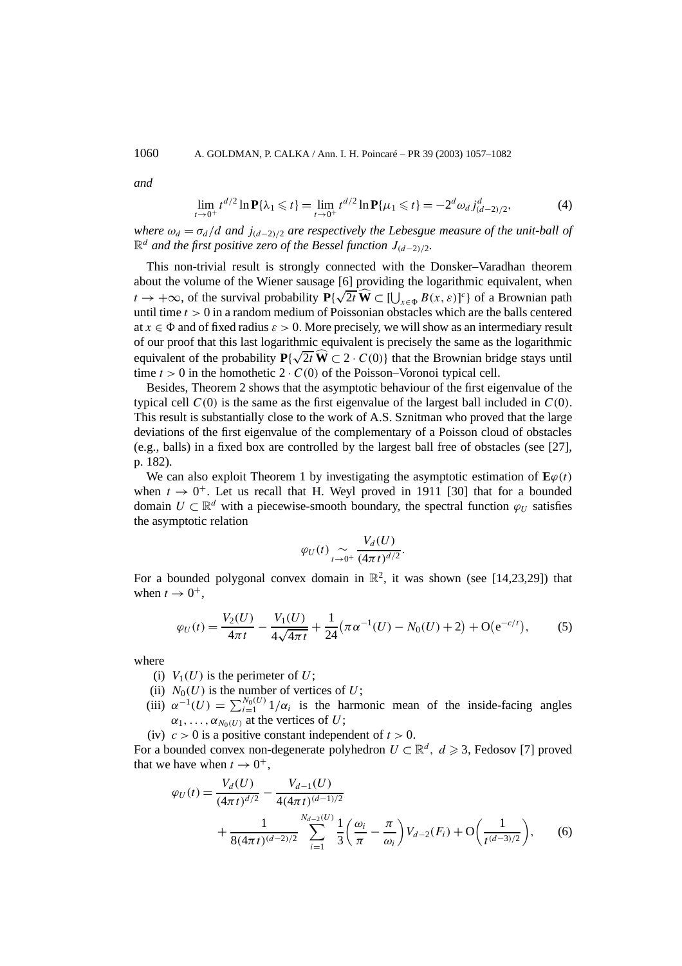*and*

$$
\lim_{t \to 0^+} t^{d/2} \ln \mathbf{P} \{\lambda_1 \leq t\} = \lim_{t \to 0^+} t^{d/2} \ln \mathbf{P} \{\mu_1 \leq t\} = -2^d \omega_d j_{(d-2)/2}^d,
$$
 (4)

*where*  $\omega_d = \sigma_d/d$  *and*  $j_{(d-2)/2}$  *are respectively the Lebesgue measure of the unit-ball of*  $\mathbb{R}^d$  *and the first positive zero of the Bessel function J*<sub>(*d*−2)/2</sub>*.* 

This non-trivial result is strongly connected with the Donsker–Varadhan theorem about the volume of the Wiener sausage [6] providing the logarithmic equivalent, when about the volume of the wiener sausage [6] providing the logarithmic equivalent, when  $t \to +\infty$ , of the survival probability  $P\{\sqrt{2t}\}\hat{W} \subset [\bigcup_{x \in \Phi} B(x, \varepsilon)]^c\}$  of a Brownian path until time *t >* 0 in a random medium of Poissonian obstacles which are the balls centered at  $x \in \Phi$  and of fixed radius  $\varepsilon > 0$ . More precisely, we will show as an intermediary result of our proof that this last logarithmic equivalent is precisely the same as the logarithmic For our proof that this fast fogarithmic equivalent is precisely the same as the fogarithmic equivalent of the probability  $P\{\sqrt{2t}\,\hat{\mathbf{W}}\subset 2\cdot C(0)\}$  that the Brownian bridge stays until time  $t > 0$  in the homothetic  $2 \cdot C(0)$  of the Poisson–Voronoi typical cell.

Besides, Theorem 2 shows that the asymptotic behaviour of the first eigenvalue of the typical cell  $C(0)$  is the same as the first eigenvalue of the largest ball included in  $C(0)$ . This result is substantially close to the work of A.S. Sznitman who proved that the large deviations of the first eigenvalue of the complementary of a Poisson cloud of obstacles (e.g., balls) in a fixed box are controlled by the largest ball free of obstacles (see [27], p. 182).

We can also exploit Theorem 1 by investigating the asymptotic estimation of  $\mathbf{E}\varphi(t)$ when  $t \to 0^+$ . Let us recall that H. Weyl proved in 1911 [30] that for a bounded domain  $U \subset \mathbb{R}^d$  with a piecewise-smooth boundary, the spectral function  $\varphi_U$  satisfies the asymptotic relation

$$
\varphi_U(t) \underset{t\to 0^+}{\sim} \frac{V_d(U)}{(4\pi t)^{d/2}}.
$$

For a bounded polygonal convex domain in  $\mathbb{R}^2$ , it was shown (see [14,23,29]) that when  $t \rightarrow 0^+,$ 

$$
\varphi_U(t) = \frac{V_2(U)}{4\pi t} - \frac{V_1(U)}{4\sqrt{4\pi t}} + \frac{1}{24} (\pi \alpha^{-1}(U) - N_0(U) + 2) + O(e^{-c/t}), \tag{5}
$$

where

- (i)  $V_1(U)$  is the perimeter of U;
- (ii)  $N_0(U)$  is the number of vertices of U;
- (iii)  $\alpha^{-1}(U) = \sum_{i=1}^{N_0(U)} 1/\alpha_i$  is the harmonic mean of the inside-facing angles  $\alpha_1, \ldots, \alpha_{N_0(U)}$  at the vertices of *U*;
- (iv)  $c > 0$  is a positive constant independent of  $t > 0$ .

For a bounded convex non-degenerate polyhedron  $U \subset \mathbb{R}^d$ ,  $d \ge 3$ , Fedosov [7] proved that we have when  $t \to 0^+$ ,

$$
\varphi_U(t) = \frac{V_d(U)}{(4\pi t)^{d/2}} - \frac{V_{d-1}(U)}{4(4\pi t)^{(d-1)/2}} + \frac{1}{8(4\pi t)^{(d-2)/2}} \sum_{i=1}^{N_{d-2}(U)} \frac{1}{3} \left(\frac{\omega_i}{\pi} - \frac{\pi}{\omega_i}\right) V_{d-2}(F_i) + \mathcal{O}\left(\frac{1}{t^{(d-3)/2}}\right),\tag{6}
$$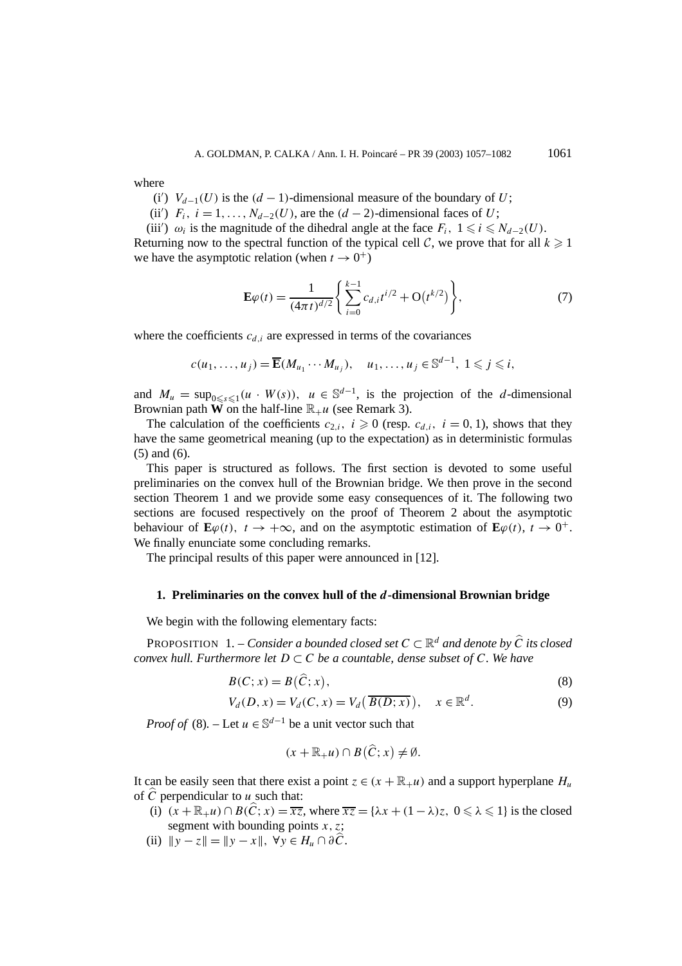where

- (i')  $V_{d-1}(U)$  is the  $(d-1)$ -dimensional measure of the boundary of *U*;
- (ii')  $F_i$ ,  $i = 1, ..., N_{d-2}(U)$ , are the  $(d-2)$ -dimensional faces of *U*;

(iii')  $\omega_i$  is the magnitude of the dihedral angle at the face  $F_i$ ,  $1 \le i \le N_{d-2}(U)$ . Returning now to the spectral function of the typical cell  $C$ , we prove that for all  $k \geq 1$ we have the asymptotic relation (when  $t \to 0^+$ )

$$
\mathbf{E}\varphi(t) = \frac{1}{(4\pi t)^{d/2}} \left\{ \sum_{i=0}^{k-1} c_{d,i} t^{i/2} + \mathcal{O}(t^{k/2}) \right\},\tag{7}
$$

where the coefficients  $c_{d,i}$  are expressed in terms of the covariances

$$
c(u_1,\ldots,u_j)=\overline{\mathbf{E}}(M_{u_1}\cdots M_{u_j}),\quad u_1,\ldots,u_j\in\mathbb{S}^{d-1},\ 1\leqslant j\leqslant i,
$$

and  $M_u = \sup_{0 \le s \le 1} (u \cdot W(s))$ ,  $u \in \mathbb{S}^{d-1}$ , is the projection of the *d*-dimensional Brownian path **W** on the half-line  $\mathbb{R}_{+}u$  (see Remark 3).

The calculation of the coefficients  $c_{2,i}$ ,  $i \ge 0$  (resp.  $c_{d,i}$ ,  $i = 0, 1$ ), shows that they have the same geometrical meaning (up to the expectation) as in deterministic formulas (5) and (6).

This paper is structured as follows. The first section is devoted to some useful preliminaries on the convex hull of the Brownian bridge. We then prove in the second section Theorem 1 and we provide some easy consequences of it. The following two sections are focused respectively on the proof of Theorem 2 about the asymptotic behaviour of  $\mathbf{E}\varphi(t)$ ,  $t \to +\infty$ , and on the asymptotic estimation of  $\mathbf{E}\varphi(t)$ ,  $t \to 0^+$ . We finally enunciate some concluding remarks.

The principal results of this paper were announced in [12].

## **1. Preliminaries on the convex hull of the** *d***-dimensional Brownian bridge**

We begin with the following elementary facts:

**PROPOSITION** 1. – *Consider a bounded closed set*  $C \subset \mathbb{R}^d$  *and denote by*  $\hat{C}$  *its closed convex hull. Furthermore let*  $D \subset C$  *be a countable, dense subset of*  $C$ *. We have* 

$$
B(C; x) = B(\widehat{C}; x),\tag{8}
$$

$$
V_d(D, x) = V_d(C, x) = V_d(\overline{B(D; x)}), \quad x \in \mathbb{R}^d.
$$
 (9)

*Proof of* (8). – Let  $u \in \mathbb{S}^{d-1}$  be a unit vector such that

$$
(x+\mathbb{R}_{+}u)\cap B(\widehat{C};x)\neq\emptyset.
$$

It can be easily seen that there exist a point  $z \in (x + \mathbb{R}_{+}u)$  and a support hyperplane  $H_u$ of  $\hat{C}$  perpendicular to *u* such that:

- (i)  $(x + \mathbb{R}_{+}u) \cap B(\hat{C}; x) = \overline{xz}$ , where  $\overline{xz} = {\lambda x + (1 \lambda)z, 0 \leq \lambda \leq 1}$  is the closed segment with bounding points  $x, z$ ;
- (ii)  $\|y z\| = \|y x\|, \forall y \in H_u \cap \partial \widehat{C}.$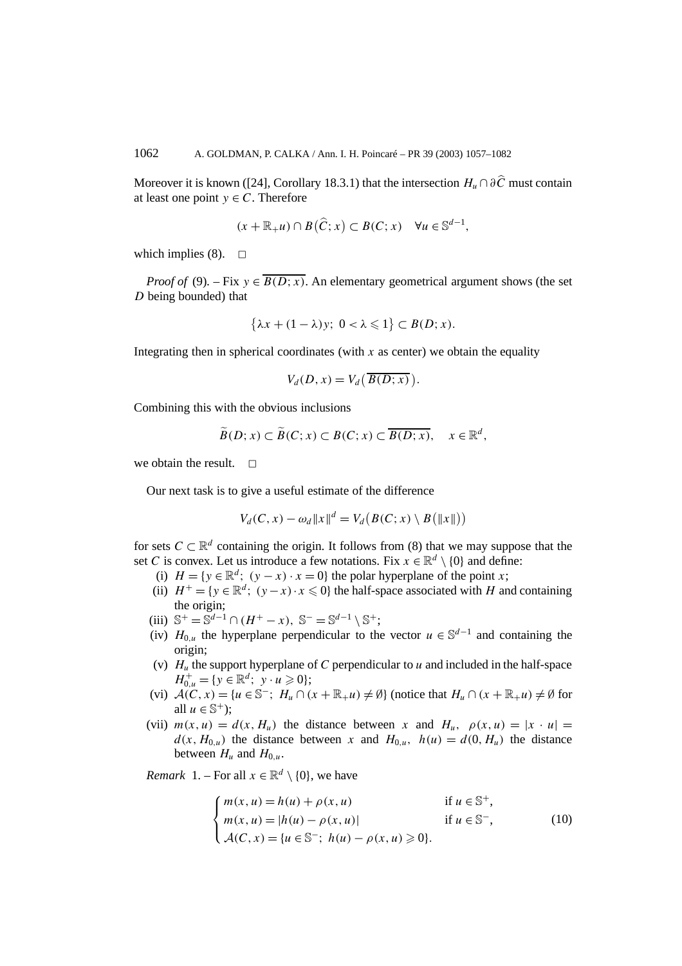Moreover it is known ([24], Corollary 18.3.1) that the intersection  $H_u \cap \partial \hat{C}$  must contain at least one point  $y \in C$ . Therefore

$$
(x + \mathbb{R}_{+}u) \cap B(\widehat{C}; x) \subset B(C; x) \quad \forall u \in \mathbb{S}^{d-1},
$$

which implies (8).  $\Box$ 

*Proof of* (9). – Fix  $y \in \overline{B(D; x)}$ . An elementary geometrical argument shows (the set *D* being bounded) that

$$
\{\lambda x + (1 - \lambda)y; \ 0 < \lambda \leq 1\} \subset B(D; x).
$$

Integrating then in spherical coordinates (with  $x$  as center) we obtain the equality

$$
V_d(D, x) = V_d\left(\overline{B(D; x)}\right).
$$

Combining this with the obvious inclusions

$$
\widetilde{B}(D;x) \subset \widetilde{B}(C;x) \subset B(C;x) \subset \overline{B(D;x)}, \quad x \in \mathbb{R}^d,
$$

we obtain the result.  $\Box$ 

Our next task is to give a useful estimate of the difference

$$
V_d(C, x) - \omega_d ||x||^d = V_d(B(C; x) \setminus B(||x||))
$$

for sets  $C \subset \mathbb{R}^d$  containing the origin. It follows from (8) that we may suppose that the set *C* is convex. Let us introduce a few notations. Fix  $x \in \mathbb{R}^d \setminus \{0\}$  and define:

- (i)  $H = \{y \in \mathbb{R}^d; (y x) \cdot x = 0\}$  the polar hyperplane of the point *x*;
- (ii)  $H^+ = \{y \in \mathbb{R}^d$ ;  $(y-x) \cdot x \le 0\}$  the half-space associated with *H* and containing the origin;
- (iii)  $\mathbb{S}^+ = \mathbb{S}^{d-1} \cap (H^+ x), \ \mathbb{S}^- = \mathbb{S}^{d-1} \setminus \mathbb{S}^+;$
- (iv)  $H_{0,u}$  the hyperplane perpendicular to the vector  $u \in \mathbb{S}^{d-1}$  and containing the origin;
- (v)  $H_u$  the support hyperplane of *C* perpendicular to *u* and included in the half-space  $H_{0,u}^{+} = \{ y \in \mathbb{R}^d; \ y \cdot u \geq 0 \};$
- (vi)  $\mathcal{A}(C, x) = \{u \in \mathbb{S}^-; H_u \cap (x + \mathbb{R}_+ u) \neq \emptyset\}$  (notice that  $H_u \cap (x + \mathbb{R}_+ u) \neq \emptyset$  for all  $u \in \mathbb{S}^+$ ;
- (vii)  $m(x, u) = d(x, H_u)$  the distance between x and  $H_u$ ,  $\rho(x, u) = |x \cdot u|$  $d(x, H_{0\mu})$  the distance between x and  $H_{0\mu}$ ,  $h(u) = d(0, H_u)$  the distance between  $H_u$  and  $H_{0,u}$ .

*Remark* 1. – For all  $x \in \mathbb{R}^d \setminus \{0\}$ , we have

$$
\begin{cases}\nm(x, u) = h(u) + \rho(x, u) & \text{if } u \in \mathbb{S}^+, \\
m(x, u) = |h(u) - \rho(x, u)| & \text{if } u \in \mathbb{S}^-, \\
\mathcal{A}(C, x) = \{u \in \mathbb{S}^-; h(u) - \rho(x, u) \ge 0\}.\n\end{cases}
$$
\n(10)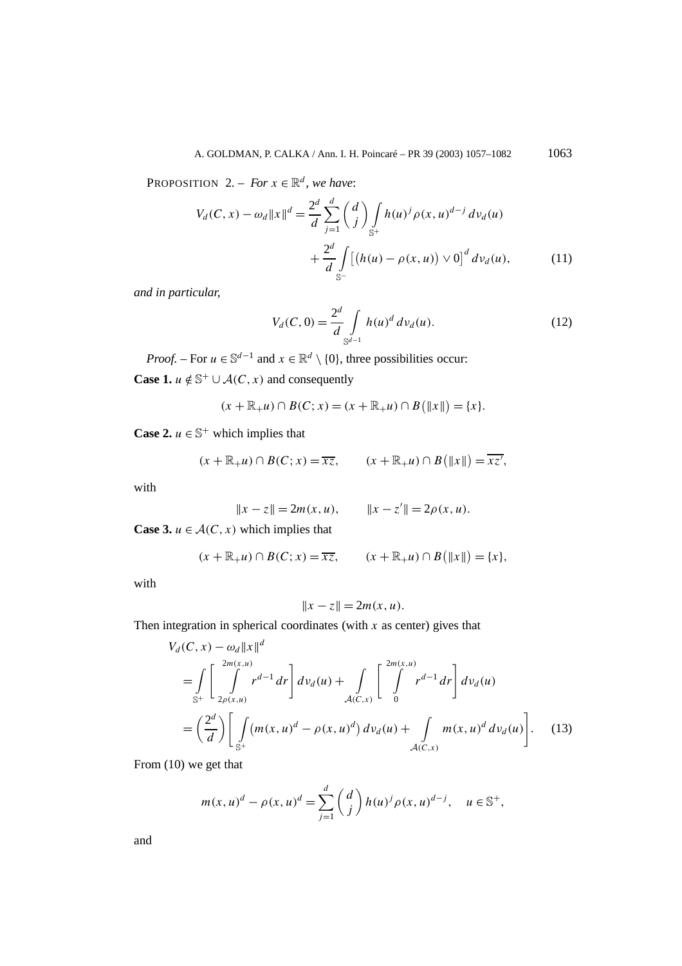PROPOSITION 2. – *For*  $x \in \mathbb{R}^d$ , we have:

$$
V_d(C, x) - \omega_d ||x||^d = \frac{2^d}{d} \sum_{j=1}^d \binom{d}{j} \int_{\mathbb{S}^+} h(u)^j \rho(x, u)^{d-j} dv_d(u)
$$
  
+ 
$$
\frac{2^d}{d} \int_{\mathbb{S}^-} [(h(u) - \rho(x, u)) \vee 0]^d dv_d(u), \tag{11}
$$

*and in particular,*

$$
V_d(C, 0) = \frac{2^d}{d} \int_{\mathbb{S}^{d-1}} h(u)^d \, dv_d(u). \tag{12}
$$

*Proof.* – For  $u \in \mathbb{S}^{d-1}$  and  $x \in \mathbb{R}^d \setminus \{0\}$ , three possibilities occur:

**Case 1.**  $u \notin \mathbb{S}^+ \cup \mathcal{A}(C, x)$  and consequently

$$
(x + \mathbb{R}_{+}u) \cap B(C; x) = (x + \mathbb{R}_{+}u) \cap B(|x||) = \{x\}.
$$

**Case 2.**  $u \in \mathbb{S}^+$  which implies that

$$
(x + \mathbb{R}_{+}u) \cap B(C; x) = \overline{xz}, \qquad (x + \mathbb{R}_{+}u) \cap B(\Vert x \Vert) = \overline{xz'},
$$

with

$$
||x - z|| = 2m(x, u), \qquad ||x - z'|| = 2\rho(x, u).
$$

**Case 3.**  $u \in A(C, x)$  which implies that

$$
(x + \mathbb{R}_{+}u) \cap B(C; x) = \overline{xz}, \qquad (x + \mathbb{R}_{+}u) \cap B(\Vert x \Vert) = \{x\},
$$

with

$$
||x-z||=2m(x,u).
$$

Then integration in spherical coordinates (with *x* as center) gives that

$$
V_d(C, x) - \omega_d ||x||^d
$$
  
= 
$$
\int_{S^+} \left[ \int_{2\rho(x, u)}^{2m(x, u)} r^{d-1} dr \right] dv_d(u) + \int_{A(C, x)} \left[ \int_0^{2m(x, u)} r^{d-1} dr \right] dv_d(u)
$$
  
= 
$$
\left( \frac{2^d}{d} \right) \left[ \int_{S^+} (m(x, u)^d - \rho(x, u)^d) dv_d(u) + \int_{A(C, x)} m(x, u)^d dv_d(u) \right].
$$
 (13)

From (10) we get that

$$
m(x, u)^d - \rho(x, u)^d = \sum_{j=1}^d \binom{d}{j} h(u)^j \rho(x, u)^{d-j}, \quad u \in \mathbb{S}^+,
$$

and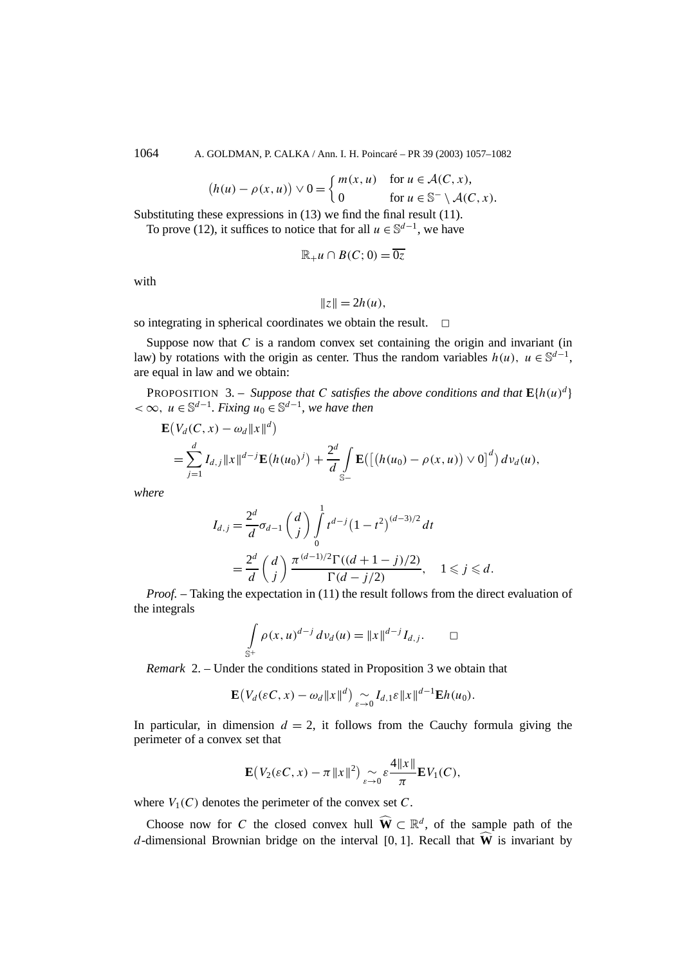1064 A. GOLDMAN, P. CALKA / Ann. I. H. Poincaré – PR 39 (2003) 1057–1082

$$
(h(u) - \rho(x, u)) \vee 0 = \begin{cases} m(x, u) & \text{for } u \in \mathcal{A}(C, x), \\ 0 & \text{for } u \in \mathbb{S}^- \setminus \mathcal{A}(C, x). \end{cases}
$$

Substituting these expressions in (13) we find the final result (11).

To prove (12), it suffices to notice that for all  $u \in \mathbb{S}^{d-1}$ , we have

$$
\mathbb{R}_{+}u\cap B(C;0)=\overline{0z}
$$

with

$$
||z|| = 2h(u),
$$

so integrating in spherical coordinates we obtain the result.  $\Box$ 

Suppose now that *C* is a random convex set containing the origin and invariant (in law) by rotations with the origin as center. Thus the random variables  $h(u)$ ,  $u \in \mathbb{S}^{d-1}$ , are equal in law and we obtain:

PROPOSITION 3. – *Suppose that C satisfies the above conditions and that*  $\mathbf{E}\{h(u)^d\}$ *<* ∞*, u* ∈ S*d*−<sup>1</sup>*. Fixing u*<sup>0</sup> ∈ S*d*−<sup>1</sup>*, we have then*

$$
\mathbf{E}(V_d(C, x) - \omega_d ||x||^d)
$$
  
=  $\sum_{j=1}^d I_{d,j} ||x||^{d-j} \mathbf{E}(h(u_0)^j) + \frac{2^d}{d} \int_{S-} \mathbf{E}([(h(u_0) - \rho(x, u)) \vee 0]^d) dv_d(u),$ 

*where*

$$
I_{d,j} = \frac{2^d}{d} \sigma_{d-1} \binom{d}{j} \int_0^1 t^{d-j} (1-t^2)^{(d-3)/2} dt
$$
  
= 
$$
\frac{2^d}{d} \binom{d}{j} \frac{\pi^{(d-1)/2} \Gamma((d+1-j)/2)}{\Gamma(d-j/2)}, \quad 1 \leq j \leq d.
$$

*Proof. –* Taking the expectation in (11) the result follows from the direct evaluation of the integrals

$$
\int_{\mathbb{S}^+} \rho(x, u)^{d-j} \, dv_d(u) = ||x||^{d-j} I_{d,j}. \qquad \Box
$$

*Remark* 2. – Under the conditions stated in Proposition 3 we obtain that

$$
\mathbf{E}\big(V_d(\varepsilon C,x)-\omega_d\|x\|^d\big)\underset{\varepsilon\to 0}{\sim}I_{d,1}\varepsilon\|x\|^{d-1}\mathbf{E}h(u_0).
$$

In particular, in dimension  $d = 2$ , it follows from the Cauchy formula giving the perimeter of a convex set that

$$
\mathbf{E}\big(V_2(\varepsilon C,x)-\pi\|x\|^2\big) \underset{\varepsilon\to 0}{\sim} \varepsilon \frac{4\|x\|}{\pi} \mathbf{E} V_1(C),
$$

where  $V_1(C)$  denotes the perimeter of the convex set C.

Choose now for *C* the closed convex hull  $\widehat{W} \subset \mathbb{R}^d$ , of the sample path of the *d*-dimensional Brownian bridge on the interval [0, 1]. Recall that  $\widehat{W}$  is invariant by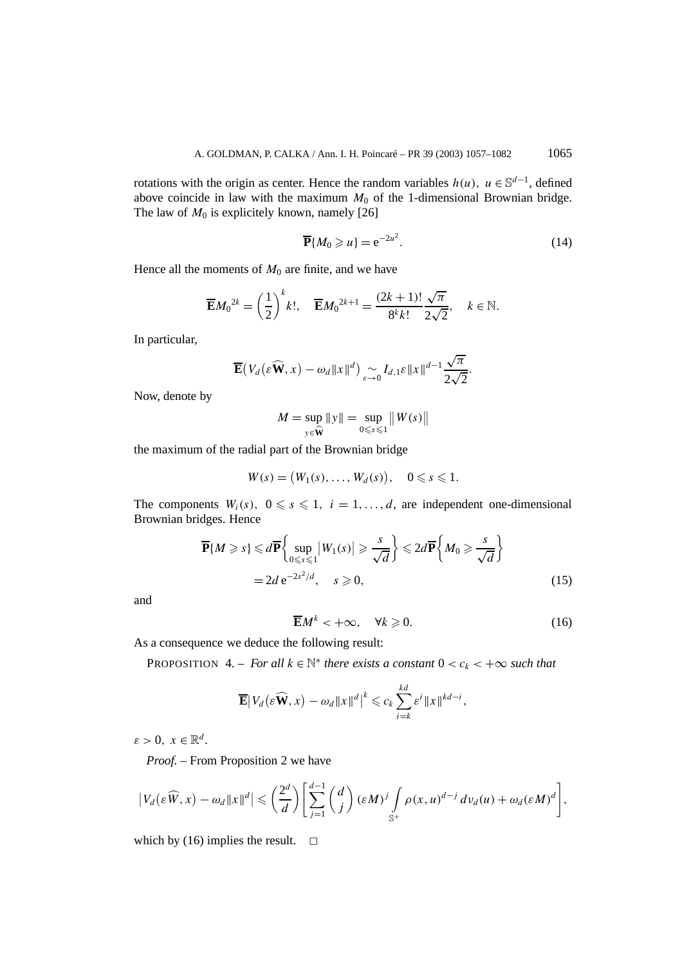rotations with the origin as center. Hence the random variables  $h(u)$ ,  $u \in \mathbb{S}^{d-1}$ , defined above coincide in law with the maximum  $M_0$  of the 1-dimensional Brownian bridge. The law of  $M_0$  is explicitely known, namely [26]

$$
\overline{\mathbf{P}}\{M_0 \geq u\} = e^{-2u^2}.\tag{14}
$$

Hence all the moments of  $M_0$  are finite, and we have

$$
\overline{\mathbf{E}}M_0^{2k} = \left(\frac{1}{2}\right)^k k!, \quad \overline{\mathbf{E}}M_0^{2k+1} = \frac{(2k+1)!}{8^k k!} \frac{\sqrt{\pi}}{2\sqrt{2}}, \quad k \in \mathbb{N}.
$$

In particular,

$$
\overline{\mathbf{E}}(V_d(\varepsilon\widehat{\mathbf{W}},x)-\omega_d||x||^d)\underset{\varepsilon\to 0}{\sim}I_{d,1}\varepsilon||x||^{d-1}\frac{\sqrt{\pi}}{2\sqrt{2}}.
$$

Now, denote by

$$
M = \sup_{y \in \widehat{\mathbf{W}}} \|y\| = \sup_{0 \leq s \leq 1} \|W(s)\|
$$

the maximum of the radial part of the Brownian bridge

$$
W(s) = (W_1(s), \ldots, W_d(s)), \quad 0 \leq s \leq 1.
$$

The components  $W_i(s)$ ,  $0 \le s \le 1$ ,  $i = 1, ..., d$ , are independent one-dimensional Brownian bridges. Hence

$$
\overline{\mathbf{P}}\{M \ge s\} \le d\overline{\mathbf{P}}\left\{\sup_{0 \le s \le 1} |W_1(s)| \ge \frac{s}{\sqrt{d}}\right\} \le 2d\overline{\mathbf{P}}\left\{M_0 \ge \frac{s}{\sqrt{d}}\right\}
$$
  
= 2d e<sup>-2s<sup>2</sup>/d</sup>,  $s \ge 0$ , (15)

and

$$
\overline{\mathbf{E}}M^k < +\infty, \quad \forall k \geqslant 0. \tag{16}
$$

As a consequence we deduce the following result:

PROPOSITION 4. – *For all*  $k \in \mathbb{N}^*$  *there exists a constant*  $0 < c_k < +\infty$  *such that* 

$$
\overline{\mathbf{E}}|V_d(\varepsilon \widehat{\mathbf{W}},x)-\omega_d||x||^d|^k \leqslant c_k \sum_{i=k}^{kd} \varepsilon^i ||x||^{kd-i},
$$

 $\varepsilon > 0$ ,  $x \in \mathbb{R}^d$ .

*Proof. –* From Proposition 2 we have

$$
\left|V_d(\varepsilon \widehat{W},x)-\omega_d\|x\|^d\right|\leqslant \left(\frac{2^d}{d}\right)\left[\sum_{j=1}^{d-1}{d\choose j}(\varepsilon M)^j\int\limits_{\mathbb{S}^+}\rho(x,u)^{d-j}\,dv_d(u)+\omega_d(\varepsilon M)^d\right],
$$

which by (16) implies the result.  $\Box$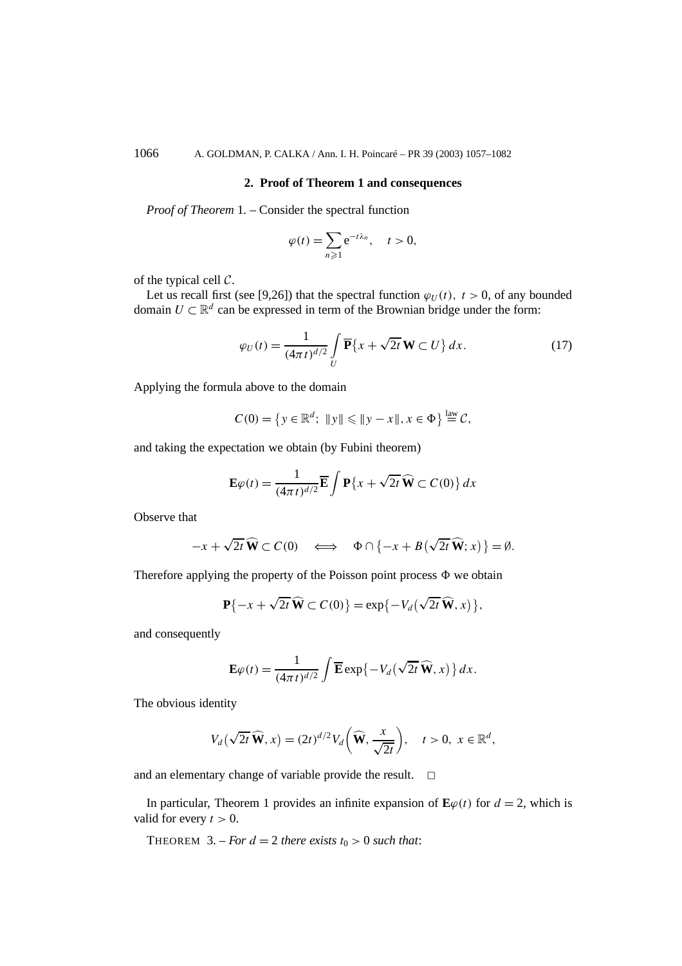## **2. Proof of Theorem 1 and consequences**

*Proof of Theorem* 1*. –* Consider the spectral function

$$
\varphi(t) = \sum_{n\geqslant 1} e^{-t\lambda_n}, \quad t > 0,
$$

of the typical cell  $C$ .

Let us recall first (see [9,26]) that the spectral function  $\varphi_U(t)$ ,  $t > 0$ , of any bounded domain  $U \subset \mathbb{R}^d$  can be expressed in term of the Brownian bridge under the form:

$$
\varphi_U(t) = \frac{1}{(4\pi t)^{d/2}} \int\limits_U \overline{\mathbf{P}} \{x + \sqrt{2t} \mathbf{W} \subset U\} dx.
$$
 (17)

Applying the formula above to the domain

$$
C(0) = \left\{ y \in \mathbb{R}^d; \ \|y\| \leqslant \|y - x\|, x \in \Phi \right\} \stackrel{\text{law}}{=} C,
$$

and taking the expectation we obtain (by Fubini theorem)

$$
\mathbf{E}\varphi(t) = \frac{1}{(4\pi t)^{d/2}} \overline{\mathbf{E}} \int \mathbf{P} \{x + \sqrt{2t} \,\widehat{\mathbf{W}} \subset C(0)\} \, dx
$$

Observe that

$$
-x + \sqrt{2t}\,\widehat{\mathbf{W}} \subset C(0) \quad \Longleftrightarrow \quad \Phi \cap \{-x + B(\sqrt{2t}\,\widehat{\mathbf{W}};x)\} = \emptyset.
$$

Therefore applying the property of the Poisson point process  $\Phi$  we obtain

$$
\mathbf{P}\{-x+\sqrt{2t}\,\widehat{\mathbf{W}}\subset C(0)\}=\exp\{-V_d(\sqrt{2t}\,\widehat{\mathbf{W}},x)\},\
$$

and consequently

$$
\mathbf{E}\varphi(t) = \frac{1}{(4\pi t)^{d/2}}\int \overline{\mathbf{E}}\exp\{-V_d(\sqrt{2t}\,\widehat{\mathbf{W}},x)\}\,dx.
$$

The obvious identity

$$
V_d(\sqrt{2t}\,\widehat{\mathbf{W}},x)=(2t)^{d/2}V_d\bigg(\widehat{\mathbf{W}},\frac{x}{\sqrt{2t}}\bigg),\quad t>0,\;x\in\mathbb{R}^d,
$$

and an elementary change of variable provide the result.  $\Box$ 

In particular, Theorem 1 provides an infinite expansion of  $\mathbf{E}\varphi(t)$  for  $d = 2$ , which is valid for every  $t > 0$ .

THEOREM  $3. - For d = 2$  *there exists*  $t_0 > 0$  *such that*: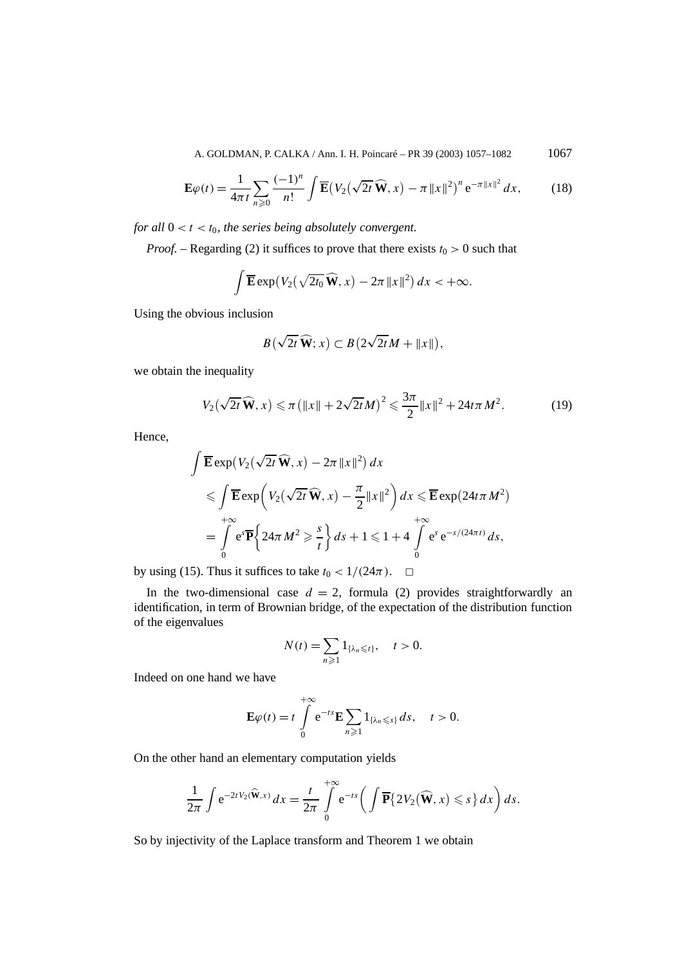A. GOLDMAN, P. CALKA / Ann. I. H. Poincaré – PR 39 (2003) 1057–1082 1067

$$
\mathbf{E}\varphi(t) = \frac{1}{4\pi t} \sum_{n\geqslant 0} \frac{(-1)^n}{n!} \int \overline{\mathbf{E}} \big( V_2(\sqrt{2t}\,\widehat{\mathbf{W}}, x) - \pi \|x\|^2 \big)^n e^{-\pi \|x\|^2} \, dx,\tag{18}
$$

*for all*  $0 < t < t_0$ *, the series being absolutely convergent.* 

*Proof.* – Regarding (2) it suffices to prove that there exists  $t_0 > 0$  such that

$$
\int \overline{\mathbf{E}} \exp(V_2(\sqrt{2t_0}\,\widehat{\mathbf{W}},x)-2\pi\,\|x\|^2)\,dx<+\infty.
$$

Using the obvious inclusion

$$
B(\sqrt{2t}\,\widehat{\mathbf{W}};x)\subset B(2\sqrt{2t}M+\|x\|),
$$

we obtain the inequality

$$
V_2(\sqrt{2t}\,\widehat{\mathbf{W}},x) \leqslant \pi \left( \|x\| + 2\sqrt{2t}M \right)^2 \leqslant \frac{3\pi}{2} \|x\|^2 + 24t\pi M^2. \tag{19}
$$

Hence,

$$
\int \overline{\mathbf{E}} \exp(V_2(\sqrt{2t}\,\widehat{\mathbf{W}},x)-2\pi \|x\|^2) dx
$$
  
\$\leqslant \int \overline{\mathbf{E}} \exp(V\_2(\sqrt{2t}\,\widehat{\mathbf{W}},x)-\frac{\pi}{2}\|x\|^2) dx \leqslant \overline{\mathbf{E}} \exp(24t\pi M^2) \$  
=\int\_0^{+\infty} e^s \overline{\mathbf{P}} \Big\{ 24\pi M^2 \geqslant \frac{s}{t} \Big\} ds + 1 \leqslant 1 + 4 \int\_0^{+\infty} e^s e^{-s/(24\pi t)} ds,

by using (15). Thus it suffices to take  $t_0 < 1/(24\pi)$ .  $\Box$ 

In the two-dimensional case  $d = 2$ , formula (2) provides straightforwardly an identification, in term of Brownian bridge, of the expectation of the distribution function of the eigenvalues

$$
N(t) = \sum_{n\geq 1} 1_{\{\lambda_n \leq t\}}, \quad t > 0.
$$

Indeed on one hand we have

$$
\mathbf{E}\varphi(t)=t\int\limits_{0}^{+\infty}e^{-ts}\mathbf{E}\sum_{n\geqslant 1}1_{\{\lambda_n\leqslant s\}}\,ds,\quad t>0.
$$

On the other hand an elementary computation yields

$$
\frac{1}{2\pi}\int e^{-2tV_2(\widehat{\mathbf{W}},x)} dx = \frac{t}{2\pi}\int\limits_{0}^{+\infty} e^{-ts}\bigg(\int \overline{\mathbf{P}}\{2V_2(\widehat{\mathbf{W}},x)\leqslant s\} dx\bigg) ds.
$$

So by injectivity of the Laplace transform and Theorem 1 we obtain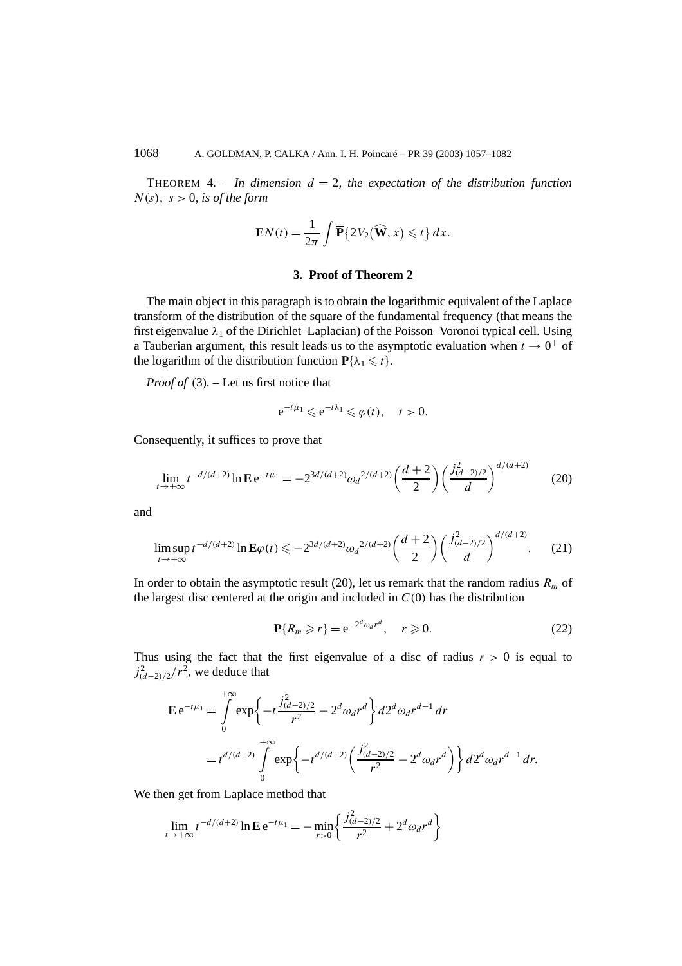THEOREM 4. – *In dimension*  $d = 2$ , the expectation of the distribution function  $N(s)$ ,  $s > 0$ , *is of the form* 

$$
\mathbf{E}N(t) = \frac{1}{2\pi} \int \overline{\mathbf{P}} \{ 2V_2(\widehat{\mathbf{W}}, x) \leq t \} dx.
$$

## **3. Proof of Theorem 2**

The main object in this paragraph is to obtain the logarithmic equivalent of the Laplace transform of the distribution of the square of the fundamental frequency (that means the first eigenvalue *λ*<sup>1</sup> of the Dirichlet–Laplacian) of the Poisson–Voronoi typical cell. Using a Tauberian argument, this result leads us to the asymptotic evaluation when  $t \to 0^+$  of the logarithm of the distribution function  $P\{\lambda_1 \leq t\}$ .

*Proof of* (3)*. –* Let us first notice that

$$
e^{-t\mu_1}\leqslant e^{-t\lambda_1}\leqslant \varphi(t),\quad t>0.
$$

Consequently, it suffices to prove that

$$
\lim_{t \to +\infty} t^{-d/(d+2)} \ln \mathbf{E} \, \mathbf{e}^{-t\mu_1} = -2^{3d/(d+2)} \omega_d^{2/(d+2)} \left(\frac{d+2}{2}\right) \left(\frac{j_{(d-2)/2}^2}{d}\right)^{d/(d+2)} \tag{20}
$$

and

$$
\limsup_{t \to +\infty} t^{-d/(d+2)} \ln \mathbf{E} \varphi(t) \leqslant -2^{3d/(d+2)} \omega_d^{2/(d+2)} \left(\frac{d+2}{2}\right) \left(\frac{j_{(d-2)/2}^2}{d}\right)^{d/(d+2)}.\tag{21}
$$

In order to obtain the asymptotic result (20), let us remark that the random radius  $R_m$  of the largest disc centered at the origin and included in  $C(0)$  has the distribution

$$
\mathbf{P}\{R_m \ge r\} = e^{-2^d \omega_d r^d}, \quad r \ge 0.
$$
 (22)

Thus using the fact that the first eigenvalue of a disc of radius  $r > 0$  is equal to  $j_{(d-2)/2}^2/r^2$ , we deduce that

$$
\mathbf{E} e^{-t\mu_1} = \int_0^{+\infty} \exp\left\{-t\frac{j_{(d-2)/2}^2}{r^2} - 2^d \omega_d r^d\right\} d2^d \omega_d r^{d-1} dr
$$
  
=  $t^{d/(d+2)} \int_0^{+\infty} \exp\left\{-t^{d/(d+2)} \left(\frac{j_{(d-2)/2}^2}{r^2} - 2^d \omega_d r^d\right)\right\} d2^d \omega_d r^{d-1} dr.$ 

We then get from Laplace method that

$$
\lim_{t \to +\infty} t^{-d/(d+2)} \ln \mathbf{E} e^{-t\mu_1} = -\min_{r>0} \left\{ \frac{j_{(d-2)/2}^2}{r^2} + 2^d \omega_d r^d \right\}
$$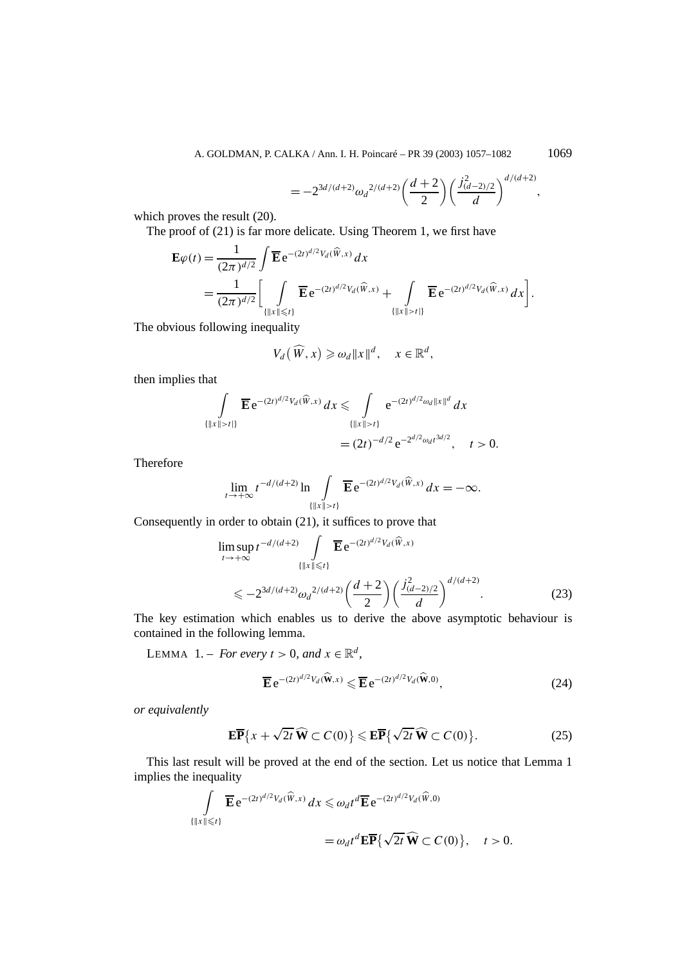$$
=-2^{3d/(d+2)}{\omega_d}^{2/(d+2)}\left(\frac{d+2}{2}\right)\left(\frac{j_{(d-2)/2}^2}{d}\right)^{d/(d+2)},
$$

which proves the result (20).

The proof of (21) is far more delicate. Using Theorem 1, we first have

$$
\mathbf{E}\varphi(t) = \frac{1}{(2\pi)^{d/2}} \int \overline{\mathbf{E}} e^{-(2t)^{d/2}V_d(\widehat{W},x)} dx \n= \frac{1}{(2\pi)^{d/2}} \bigg[ \int_{\{|x\| \le t\}} \overline{\mathbf{E}} e^{-(2t)^{d/2}V_d(\widehat{W},x)} + \int_{\{|x\| > t\}} \overline{\mathbf{E}} e^{-(2t)^{d/2}V_d(\widehat{W},x)} dx \bigg].
$$

The obvious following inequality

$$
V_d(\widehat{W},x) \geq \omega_d ||x||^d, \quad x \in \mathbb{R}^d,
$$

then implies that

$$
\int_{\{|x\|>t\}} \overline{\mathbf{E}} e^{-(2t)^{d/2} V_d(\widehat{W},x)} dx \leq \int_{\{|x\|>t\}} e^{-(2t)^{d/2} \omega_d \|x\|^d} dx
$$
  
=  $(2t)^{-d/2} e^{-2^{d/2} \omega_d t^{3d/2}}, \quad t > 0.$ 

Therefore

$$
\lim_{t\to+\infty}t^{-d/(d+2)}\ln\int\limits_{\{\|x\|>t\}}\overline{\mathbf{E}}\,\mathrm{e}^{-(2t)^{d/2}V_d(\widehat{W},x)}\,dx=-\infty.
$$

Consequently in order to obtain (21), it suffices to prove that

$$
\limsup_{t \to +\infty} t^{-d/(d+2)} \int_{\{|x\| \le t\}} \overline{\mathbf{E}} e^{-(2t)^{d/2} V_d(\widehat{W}, x)}
$$
\n
$$
\le -2^{3d/(d+2)} \omega_d^{2/(d+2)} \left(\frac{d+2}{2}\right) \left(\frac{j_{(d-2)/2}^2}{d}\right)^{d/(d+2)}.
$$
\n(23)

The key estimation which enables us to derive the above asymptotic behaviour is contained in the following lemma.

LEMMA 1. – *For every*  $t > 0$ *, and*  $x \in \mathbb{R}^d$ *,* 

$$
\overline{\mathbf{E}} e^{-(2t)^{d/2} V_d(\widehat{\mathbf{W}},x)} \leqslant \overline{\mathbf{E}} e^{-(2t)^{d/2} V_d(\widehat{\mathbf{W}},0)},\tag{24}
$$

*or equivalently*

$$
\mathbf{E}\overline{\mathbf{P}}\big\{x + \sqrt{2t}\,\widehat{\mathbf{W}} \subset C(0)\big\} \leqslant \mathbf{E}\overline{\mathbf{P}}\big\{\sqrt{2t}\,\widehat{\mathbf{W}} \subset C(0)\big\}.
$$
 (25)

This last result will be proved at the end of the section. Let us notice that Lemma 1 implies the inequality

$$
\int_{\{\|x\| \leq t\}} \overline{\mathbf{E}} e^{-(2t)^{d/2} V_d(\widehat{W},x)} dx \leq \omega_d t^d \overline{\mathbf{E}} e^{-(2t)^{d/2} V_d(\widehat{W},0)}
$$
  
=  $\omega_d t^d \mathbf{E} \overline{\mathbf{P}} \{ \sqrt{2t} \widehat{\mathbf{W}} \subset C(0) \}, \quad t > 0.$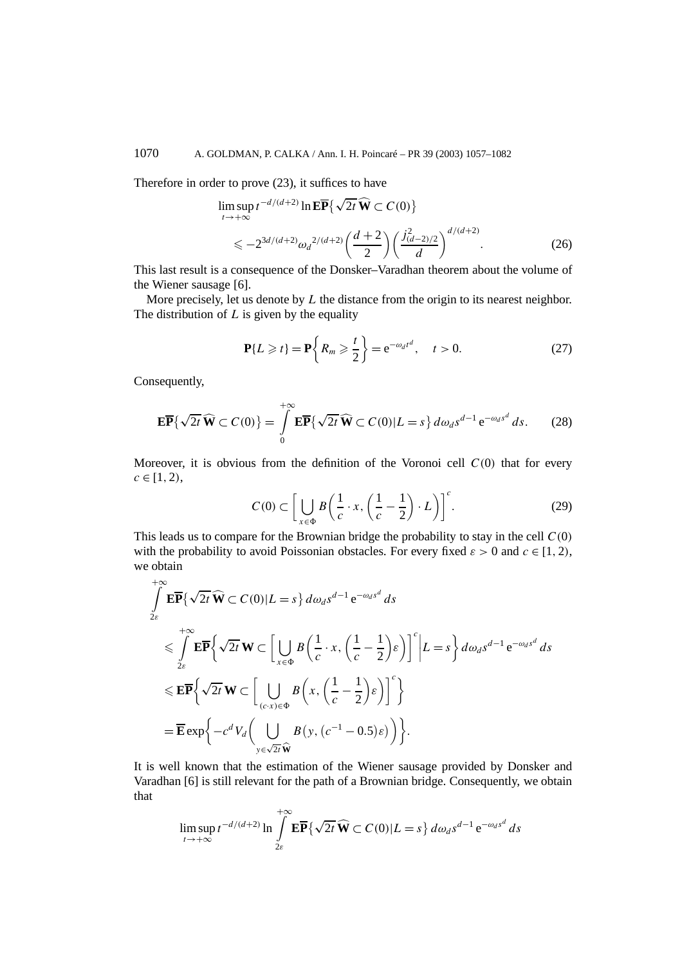Therefore in order to prove (23), it suffices to have

$$
\limsup_{t \to +\infty} t^{-d/(d+2)} \ln \mathbf{E} \overline{\mathbf{P}} \{ \sqrt{2t} \widehat{\mathbf{W}} \subset C(0) \}
$$
  
\$\leq -2^{3d/(d+2)} \omega\_d^{2/(d+2)} \left( \frac{d+2}{2} \right) \left( \frac{j\_{(d-2)/2}^2}{d} \right)^{d/(d+2)} .\$ (26)

This last result is a consequence of the Donsker–Varadhan theorem about the volume of the Wiener sausage [6].

More precisely, let us denote by *L* the distance from the origin to its nearest neighbor. The distribution of *L* is given by the equality

$$
\mathbf{P}\{L \geqslant t\} = \mathbf{P}\left\{R_m \geqslant \frac{t}{2}\right\} = e^{-\omega_d t^d}, \quad t > 0. \tag{27}
$$

Consequently,

$$
\mathbf{E}\overline{\mathbf{P}}\{\sqrt{2t}\,\widehat{\mathbf{W}}\subset C(0)\}=\int\limits_{0}^{+\infty}\mathbf{E}\overline{\mathbf{P}}\{\sqrt{2t}\,\widehat{\mathbf{W}}\subset C(0)|L=s\}\,d\omega_d s^{d-1}\,\mathrm{e}^{-\omega_d s^d}\,ds.\qquad(28)
$$

Moreover, it is obvious from the definition of the Voronoi cell  $C(0)$  that for every  $c \in [1, 2)$ ,

$$
C(0) \subset \left[ \bigcup_{x \in \Phi} B\left(\frac{1}{c} \cdot x, \left(\frac{1}{c} - \frac{1}{2}\right) \cdot L\right) \right]^c. \tag{29}
$$

This leads us to compare for the Brownian bridge the probability to stay in the cell  $C(0)$ with the probability to avoid Poissonian obstacles. For every fixed  $\varepsilon > 0$  and  $c \in [1, 2)$ , we obtain

$$
\int_{2\varepsilon}^{+\infty} \mathbf{E} \overline{\mathbf{P}} \{ \sqrt{2t} \widehat{\mathbf{W}} \subset C(0) | L = s \} d\omega_d s^{d-1} e^{-\omega_d s^d} ds
$$
\n
$$
\leqslant \int_{2\varepsilon}^{+\infty} \mathbf{E} \overline{\mathbf{P}} \left\{ \sqrt{2t} \mathbf{W} \subset \left[ \bigcup_{x \in \Phi} B\left(\frac{1}{c} \cdot x, \left(\frac{1}{c} - \frac{1}{2}\right) \varepsilon \right) \right]^c \Big| L = s \right\} d\omega_d s^{d-1} e^{-\omega_d s^d} ds
$$
\n
$$
\leqslant \mathbf{E} \overline{\mathbf{P}} \left\{ \sqrt{2t} \mathbf{W} \subset \left[ \bigcup_{(c \cdot x) \in \Phi} B\left(x, \left(\frac{1}{c} - \frac{1}{2}\right) \varepsilon \right) \right]^c \right\}
$$
\n
$$
= \overline{\mathbf{E}} \exp \left\{ -c^d V_d \left( \bigcup_{y \in \sqrt{2t} \widehat{\mathbf{W}}} B\left(y, \left(c^{-1} - 0.5\right) \varepsilon \right) \right) \right\}.
$$

It is well known that the estimation of the Wiener sausage provided by Donsker and Varadhan [6] is still relevant for the path of a Brownian bridge. Consequently, we obtain that

$$
\limsup_{t\to+\infty}t^{-d/(d+2)}\ln\int_{2\varepsilon}^{+\infty}\mathbf{E}\overline{\mathbf{P}}\{\sqrt{2t}\,\widehat{\mathbf{W}}\subset C(0)|L=s\}\,d\omega_d s^{d-1}\,\mathrm{e}^{-\omega_d s^d}\,ds
$$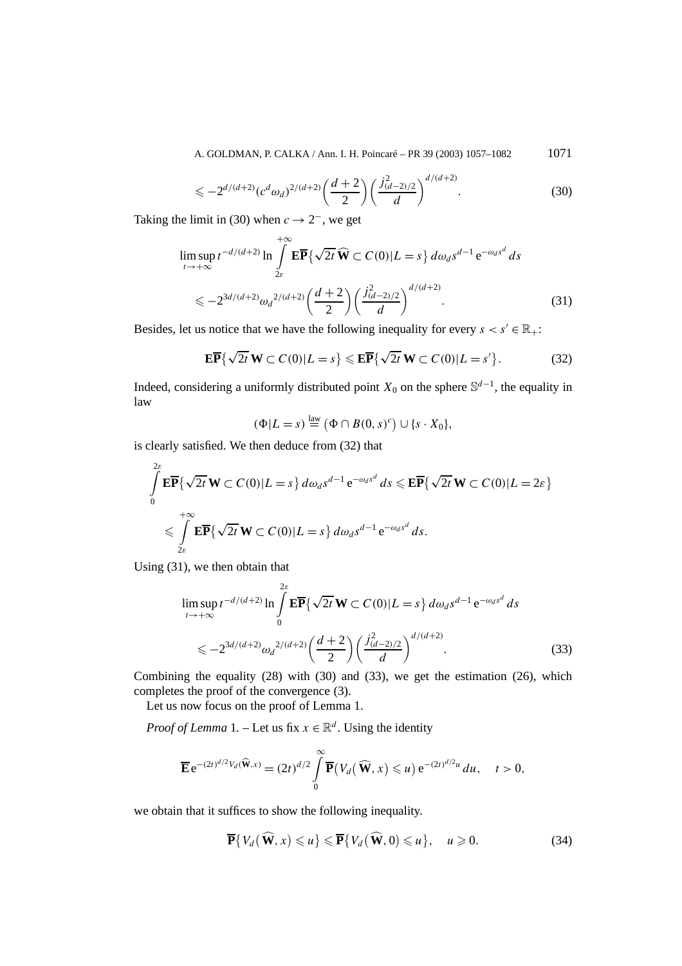A. GOLDMAN, P. CALKA / Ann. I. H. Poincaré – PR 39 (2003) 1057–1082 1071

$$
\leqslant -2^{d/(d+2)} (c^d \omega_d)^{2/(d+2)} \left(\frac{d+2}{2}\right) \left(\frac{j_{(d-2)/2}^2}{d}\right)^{d/(d+2)}.\tag{30}
$$

Taking the limit in (30) when  $c \rightarrow 2^-$ , we get

$$
\limsup_{t \to +\infty} t^{-d/(d+2)} \ln \int_{2\varepsilon}^{+\infty} \mathbf{E} \overline{\mathbf{P}} \{ \sqrt{2t} \widehat{\mathbf{W}} \subset C(0) | L = s \} d\omega_d s^{d-1} e^{-\omega_d s^d} ds
$$
  

$$
\leq -2^{3d/(d+2)} \omega_d^{2/(d+2)} \left( \frac{d+2}{2} \right) \left( \frac{j_{(d-2)/2}^2}{d} \right)^{d/(d+2)}.
$$
 (31)

Besides, let us notice that we have the following inequality for every  $s < s' \in \mathbb{R}_+$ :

$$
\mathbf{E}\overline{\mathbf{P}}\left\{\sqrt{2t}\,\mathbf{W}\subset C(0)|L=s\right\}\leqslant\mathbf{E}\overline{\mathbf{P}}\left\{\sqrt{2t}\,\mathbf{W}\subset C(0)|L=s'\right\}.\tag{32}
$$

Indeed, considering a uniformly distributed point  $X_0$  on the sphere  $\mathbb{S}^{d-1}$ , the equality in law

$$
(\Phi|L = s) \stackrel{\text{law}}{=} (\Phi \cap B(0, s)^c) \cup \{s \cdot X_0\},
$$

is clearly satisfied. We then deduce from (32) that

$$
\int_{0}^{2\varepsilon} \mathbf{E} \overline{\mathbf{P}} \{\sqrt{2t} \mathbf{W} \subset C(0) | L = s \} d\omega_d s^{d-1} e^{-\omega_d s^d} ds \leqslant \mathbf{E} \overline{\mathbf{P}} \{\sqrt{2t} \mathbf{W} \subset C(0) | L = 2\varepsilon \}
$$
\n
$$
\leqslant \int_{2\varepsilon}^{+\infty} \mathbf{E} \overline{\mathbf{P}} \{\sqrt{2t} \mathbf{W} \subset C(0) | L = s \} d\omega_d s^{d-1} e^{-\omega_d s^d} ds.
$$

Using (31), we then obtain that

$$
\limsup_{t \to +\infty} t^{-d/(d+2)} \ln \int_{0}^{2\varepsilon} \mathbf{E} \overline{\mathbf{P}} \{ \sqrt{2t} \mathbf{W} \subset C(0) | L = s \} d\omega_d s^{d-1} e^{-\omega_d s^d} ds
$$
  

$$
\leq -2^{3d/(d+2)} \omega_d^{2/(d+2)} \left( \frac{d+2}{2} \right) \left( \frac{j_{(d-2)/2}^2}{d} \right)^{d/(d+2)}.
$$
 (33)

Combining the equality (28) with (30) and (33), we get the estimation (26), which completes the proof of the convergence (3).

Let us now focus on the proof of Lemma 1.

*Proof of Lemma* 1. – Let us fix  $x \in \mathbb{R}^d$ . Using the identity

$$
\overline{\mathbf{E}} e^{-(2t)^{d/2}V_d(\widehat{\mathbf{W}},x)} = (2t)^{d/2} \int\limits_0^\infty \overline{\mathbf{P}}(V_d(\widehat{\mathbf{W}},x) \leqslant u) e^{-(2t)^{d/2}u} du, \quad t > 0,
$$

we obtain that it suffices to show the following inequality.

$$
\overline{\mathbf{P}}\{V_d(\widehat{\mathbf{W}},x)\leq u\}\leqslant \overline{\mathbf{P}}\{V_d(\widehat{\mathbf{W}},0)\leqslant u\},\quad u\geqslant 0.
$$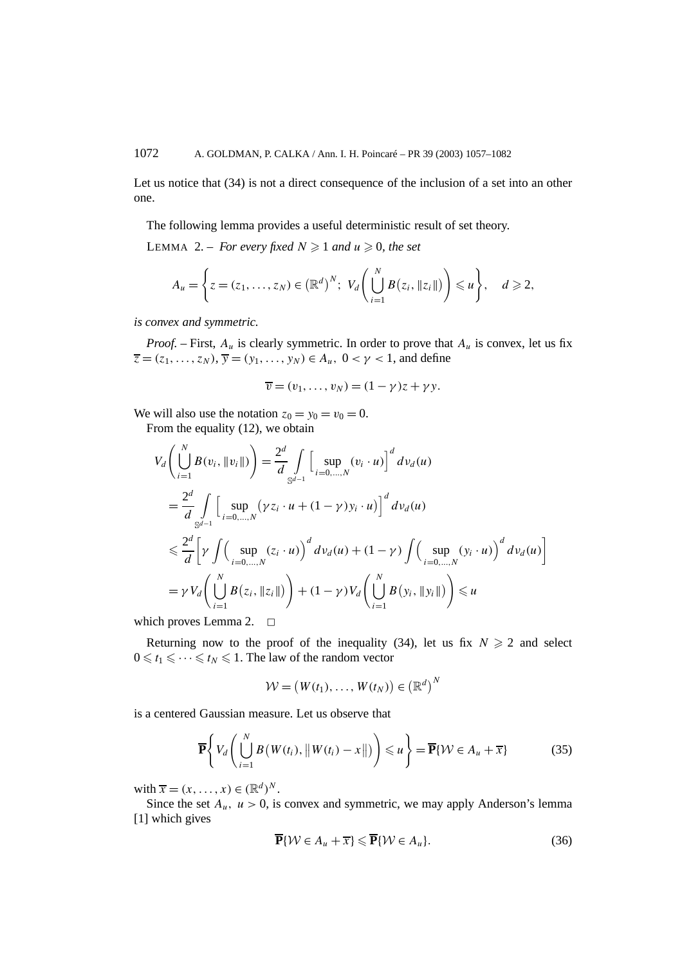Let us notice that (34) is not a direct consequence of the inclusion of a set into an other one.

The following lemma provides a useful deterministic result of set theory.

LEMMA 2. – *For every fixed*  $N \ge 1$  *and*  $u \ge 0$ *, the set* 

$$
A_u = \left\{ z = (z_1, \ldots, z_N) \in (\mathbb{R}^d)^N; \ V_d \left( \bigcup_{i=1}^N B(z_i, \|z_i\|) \right) \leq u \right\}, \quad d \geq 2,
$$

*is convex and symmetric.*

*Proof.* – First,  $A_u$  is clearly symmetric. In order to prove that  $A_u$  is convex, let us fix  $\overline{z} = (z_1, \ldots, z_N)$ ,  $\overline{y} = (y_1, \ldots, y_N) \in A_u$ ,  $0 < y < 1$ , and define

$$
\overline{v}=(v_1,\ldots,v_N)=(1-\gamma)z+\gamma y.
$$

We will also use the notation  $z_0 = y_0 = v_0 = 0$ .

From the equality (12), we obtain

$$
V_d \left( \bigcup_{i=1}^N B(v_i, \|v_i\|) \right) = \frac{2^d}{d} \int_{S^{d-1}} \left[ \sup_{i=0,...,N} (v_i \cdot u) \right]^d dv_d(u)
$$
  
\n
$$
= \frac{2^d}{d} \int_{S^{d-1}} \left[ \sup_{i=0,...,N} (\gamma z_i \cdot u + (1 - \gamma) y_i \cdot u) \right]^d dv_d(u)
$$
  
\n
$$
\leq \frac{2^d}{d} \left[ \gamma \int \left( \sup_{i=0,...,N} (z_i \cdot u) \right)^d dv_d(u) + (1 - \gamma) \int \left( \sup_{i=0,...,N} (y_i \cdot u) \right)^d dv_d(u) \right]
$$
  
\n
$$
= \gamma V_d \left( \bigcup_{i=1}^N B(z_i, \|z_i\|) \right) + (1 - \gamma) V_d \left( \bigcup_{i=1}^N B(y_i, \|y_i\|) \right) \leq u
$$

which proves Lemma 2.  $\square$ 

Returning now to the proof of the inequality (34), let us fix  $N \ge 2$  and select  $0 \leq t_1 \leq \cdots \leq t_N \leq 1$ . The law of the random vector

$$
\mathcal{W} = (W(t_1), \ldots, W(t_N)) \in (\mathbb{R}^d)^N
$$

is a centered Gaussian measure. Let us observe that

$$
\overline{\mathbf{P}}\Biggl\{V_d\Biggl(\bigcup_{i=1}^N B\bigl(W(t_i),\bigl\|W(t_i)-x\bigr\|\bigr)\Biggr)\leq u\Biggr\}=\overline{\mathbf{P}}\{\mathcal{W}\in A_u+\overline{x}\}\hspace{1cm}(35)
$$

with  $\overline{x} = (x, \ldots, x) \in (\mathbb{R}^d)^N$ .

Since the set  $A_u$ ,  $u > 0$ , is convex and symmetric, we may apply Anderson's lemma [1] which gives

$$
\overline{\mathbf{P}}\{\mathcal{W} \in A_u + \overline{x}\} \leqslant \overline{\mathbf{P}}\{\mathcal{W} \in A_u\}.\tag{36}
$$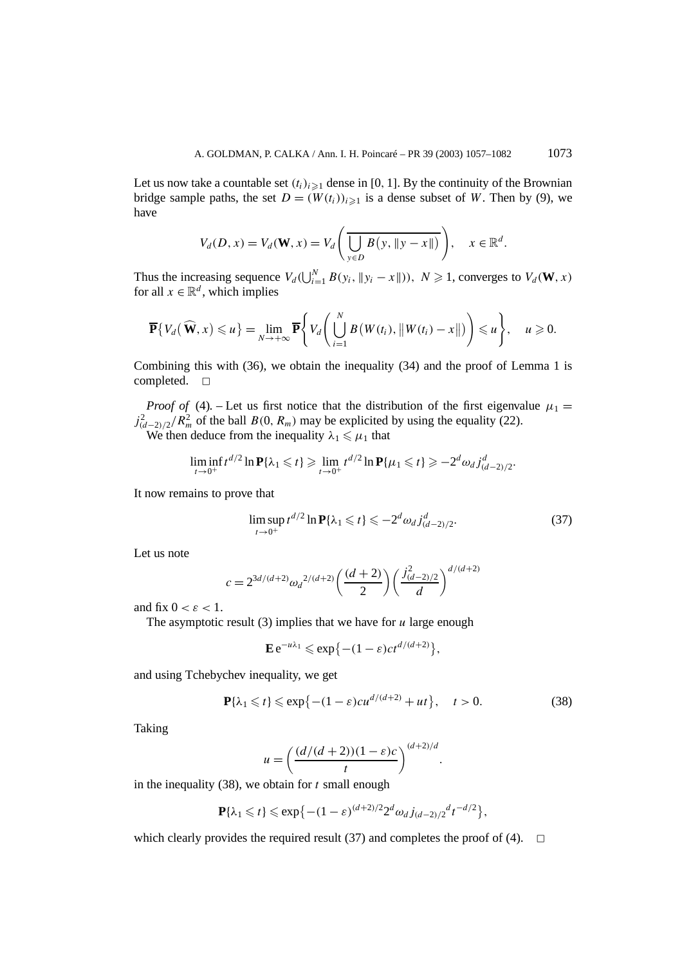Let us now take a countable set  $(t_i)_{i\geq 1}$  dense in [0, 1]. By the continuity of the Brownian bridge sample paths, the set  $D = (W(t_i))_{i \geq 1}$  is a dense subset of *W*. Then by (9), we have

$$
V_d(D, x) = V_d(\mathbf{W}, x) = V_d\left(\frac{\partial f}{\partial y \in D}B(y, \|y - x\|)\right), \quad x \in \mathbb{R}^d.
$$

Thus the increasing sequence  $V_d(\bigcup_{i=1}^N B(y_i, \|y_i - x\|)), N \ge 1$ , converges to  $V_d(\mathbf{W}, x)$ for all  $x \in \mathbb{R}^d$ , which implies

$$
\overline{\mathbf{P}}\{V_d(\widehat{\mathbf{W}},x)\leq u\}=\lim_{N\to+\infty}\overline{\mathbf{P}}\Bigg\{V_d\Bigg(\bigcup_{i=1}^N B(W(t_i),\|W(t_i)-x\|)\Bigg)\leq u\Bigg\},\quad u\geqslant 0.
$$

Combining this with (36), we obtain the inequality (34) and the proof of Lemma 1 is completed.  $\square$ 

*Proof of* (4). – Let us first notice that the distribution of the first eigenvalue  $\mu_1$  =  $j_{(d-2)/2}^2/R_m^2$  of the ball *B*(0*, R<sub>m</sub>*) may be explicited by using the equality (22). We then deduce from the inequality  $\lambda_1 \le \mu_1$  that

$$
\liminf_{t \to 0^+} t^{d/2} \ln \mathbf{P} \{\lambda_1 \leq t\} \geq \lim_{t \to 0^+} t^{d/2} \ln \mathbf{P} \{\mu_1 \leq t\} \geq -2^d \omega_d j_{(d-2)/2}^d.
$$

It now remains to prove that

$$
\limsup_{t \to 0^+} t^{d/2} \ln \mathbf{P} \{\lambda_1 \leq t\} \leq -2^d \omega_d j_{(d-2)/2}^d.
$$
 (37)

Let us note

$$
c = 2^{3d/(d+2)} \omega_d^{2/(d+2)} \left( \frac{(d+2)}{2} \right) \left( \frac{j_{(d-2)/2}^2}{d} \right)^{d/(d+2)}
$$

and fix  $0 < \varepsilon < 1$ .

The asymptotic result (3) implies that we have for *u* large enough

$$
\mathbf{E} e^{-u\lambda_1} \leqslant \exp\{-(1-\varepsilon)ct^{d/(d+2)}\},\,
$$

and using Tchebychev inequality, we get

$$
\mathbf{P}\{\lambda_1 \leqslant t\} \leqslant \exp\{-(1-\varepsilon)cu^{d/(d+2)} + ut\}, \quad t > 0. \tag{38}
$$

Taking

$$
u = \left(\frac{(d/(d+2))(1-\varepsilon)c}{t}\right)^{(d+2)/d}.
$$

in the inequality (38), we obtain for *t* small enough

$$
\mathbf{P}\{\lambda_1 \leq t\} \leq \exp\{-(1-\varepsilon)^{(d+2)/2}2^d \omega_d j_{(d-2)/2}^d t^{-d/2}\},\
$$

which clearly provides the required result (37) and completes the proof of (4).  $\Box$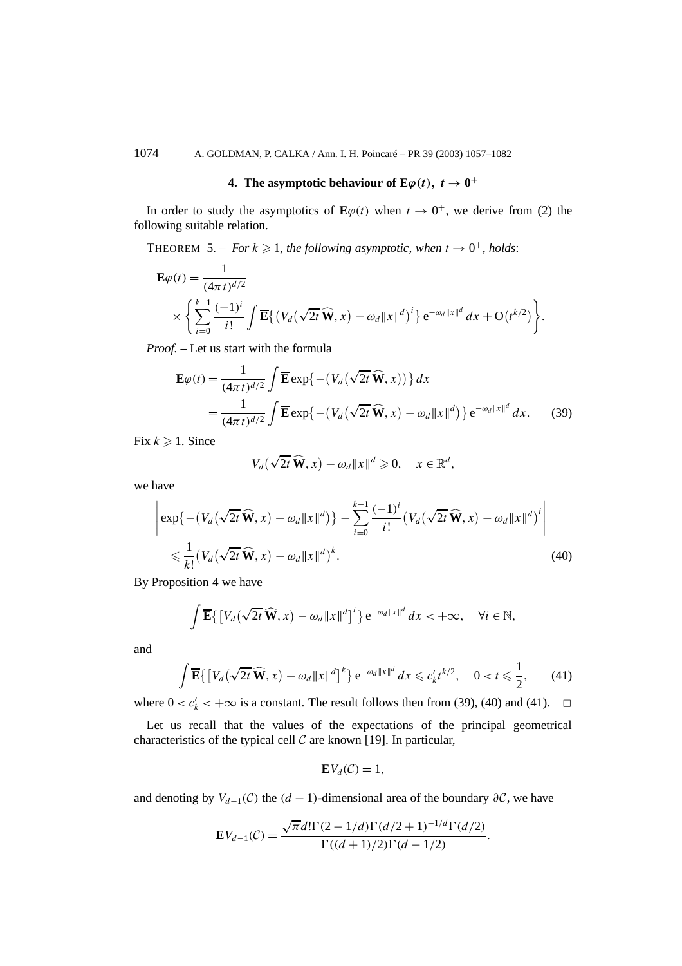## **4.** The asymptotic behaviour of  $\mathbf{E}\varphi(t)$ ,  $t \to 0^+$

In order to study the asymptotics of  $\mathbf{E}\varphi(t)$  when  $t \to 0^+$ , we derive from (2) the following suitable relation.

THEOREM 5. – *For*  $k \ge 1$ *, the following asymptotic, when*  $t \to 0^+$ *, holds:* 

$$
\mathbf{E}\varphi(t) = \frac{1}{(4\pi t)^{d/2}}\n\times \left\{\sum_{i=0}^{k-1} \frac{(-1)^i}{i!} \int \overline{\mathbf{E}} \{ (V_d(\sqrt{2t}\,\widehat{\mathbf{W}},x) - \omega_d ||x||^d)^i \} e^{-\omega_d ||x||^d} dx + O(t^{k/2}) \right\}.
$$

*Proof. –* Let us start with the formula

$$
\mathbf{E}\varphi(t) = \frac{1}{(4\pi t)^{d/2}} \int \overline{\mathbf{E}} \exp\left\{-\left(V_d(\sqrt{2t}\,\widehat{\mathbf{W}},x)\right)\right\} dx
$$
  
= 
$$
\frac{1}{(4\pi t)^{d/2}} \int \overline{\mathbf{E}} \exp\left\{-\left(V_d(\sqrt{2t}\,\widehat{\mathbf{W}},x) - \omega_d \|x\|^d\right)\right\} e^{-\omega_d \|x\|^d} dx.
$$
 (39)

Fix  $k \geqslant 1$ . Since

$$
V_d(\sqrt{2t}\,\widehat{\mathbf{W}},x)-\omega_d\|x\|^d\geqslant 0,\quad x\in\mathbb{R}^d,
$$

we have

$$
\left| \exp\left\{ -\left(V_d(\sqrt{2t}\,\widehat{\mathbf{W}},x) - \omega_d \|x\|^d\right) \right\} - \sum_{i=0}^{k-1} \frac{(-1)^i}{i!} \left(V_d(\sqrt{2t}\,\widehat{\mathbf{W}},x) - \omega_d \|x\|^d\right)^i \right|
$$
\n
$$
\leq \frac{1}{k!} \left(V_d(\sqrt{2t}\,\widehat{\mathbf{W}},x) - \omega_d \|x\|^d\right)^k. \tag{40}
$$

By Proposition 4 we have

$$
\int \overline{\mathbf{E}} \{ \left[ V_d(\sqrt{2t}\,\widehat{\mathbf{W}},x) - \omega_d \|x\|^d \right]^i \} e^{-\omega_d \|x\|^d} dx < +\infty, \quad \forall i \in \mathbb{N},
$$

and

$$
\int \overline{\mathbf{E}}\left\{ \left[ V_d(\sqrt{2t}\,\widehat{\mathbf{W}},x) - \omega_d \|x\|^d \right]^k \right\} e^{-\omega_d \|x\|^d} \, dx \leqslant c'_k t^{k/2}, \quad 0 < t \leqslant \frac{1}{2},\qquad(41)
$$

where  $0 < c'_k < +\infty$  is a constant. The result follows then from (39), (40) and (41).  $\Box$ 

Let us recall that the values of the expectations of the principal geometrical characteristics of the typical cell  $\mathcal C$  are known [19]. In particular,

$$
\mathbf{E} V_d(\mathcal{C})=1,
$$

and denoting by  $V_{d-1}(\mathcal{C})$  the  $(d-1)$ -dimensional area of the boundary  $\partial \mathcal{C}$ , we have

$$
\mathbf{E}V_{d-1}(\mathcal{C}) = \frac{\sqrt{\pi}d!\Gamma(2-1/d)\Gamma(d/2+1)^{-1/d}\Gamma(d/2)}{\Gamma((d+1)/2)\Gamma(d-1/2)}.
$$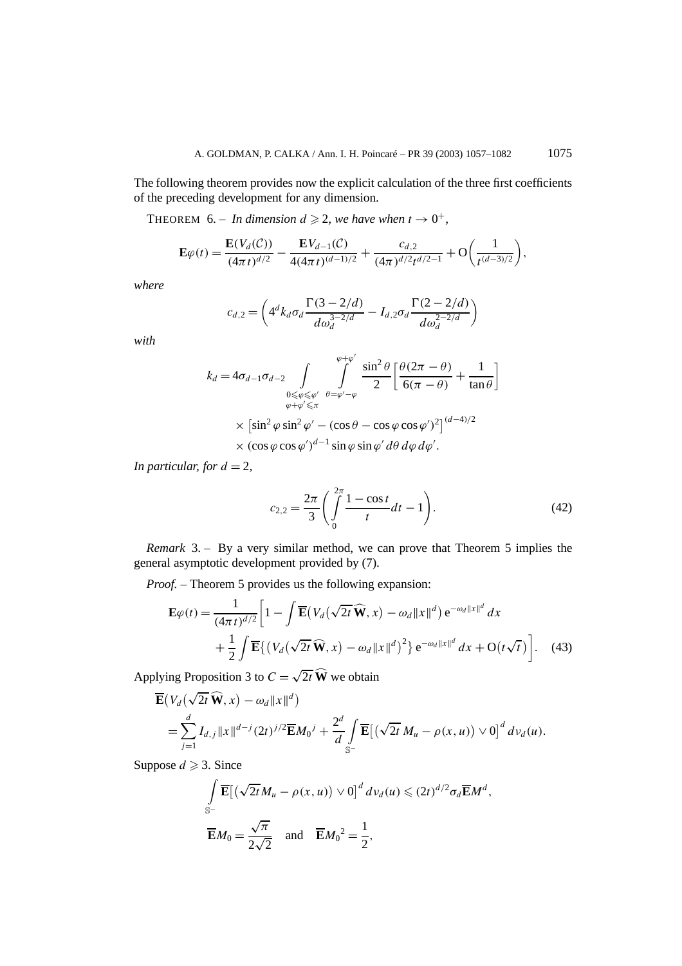The following theorem provides now the explicit calculation of the three first coefficients of the preceding development for any dimension.

THEOREM 6. – *In dimension*  $d \ge 2$ *, we have when*  $t \to 0^+$ *,* 

$$
\mathbf{E}\varphi(t) = \frac{\mathbf{E}(V_d(\mathcal{C}))}{(4\pi t)^{d/2}} - \frac{\mathbf{E}V_{d-1}(\mathcal{C})}{4(4\pi t)^{(d-1)/2}} + \frac{c_{d,2}}{(4\pi)^{d/2}t^{d/2-1}} + \mathcal{O}\bigg(\frac{1}{t^{(d-3)/2}}\bigg),
$$

*where*

$$
c_{d,2} = \left(4^d k_d \sigma_d \frac{\Gamma(3 - 2/d)}{d\omega_d^{3 - 2/d}} - I_{d,2} \sigma_d \frac{\Gamma(2 - 2/d)}{d\omega_d^{2 - 2/d}}\right)
$$

*with*

$$
k_d = 4\sigma_{d-1}\sigma_{d-2} \int_{\substack{0 \le \varphi \le \varphi' \\ \varphi + \varphi' \le \pi}} \int_{\varphi - \varphi' - \varphi}^{\varphi + \varphi'} \frac{\sin^2 \theta}{2} \left[ \frac{\theta(2\pi - \theta)}{6(\pi - \theta)} + \frac{1}{\tan \theta} \right]
$$
  
 
$$
\times \left[ \sin^2 \varphi \sin^2 \varphi' - (\cos \theta - \cos \varphi \cos \varphi')^2 \right]^{(d-4)/2}
$$
  
 
$$
\times (\cos \varphi \cos \varphi')^{d-1} \sin \varphi \sin \varphi' d\theta d\varphi d\varphi'.
$$

*In particular, for*  $d = 2$ ,

$$
c_{2,2} = \frac{2\pi}{3} \left( \int_{0}^{2\pi} \frac{1 - \cos t}{t} dt - 1 \right). \tag{42}
$$

*Remark* 3. – By a very similar method, we can prove that Theorem 5 implies the general asymptotic development provided by (7).

*Proof. –* Theorem 5 provides us the following expansion:

$$
\mathbf{E}\varphi(t) = \frac{1}{(4\pi t)^{d/2}} \bigg[ 1 - \int \overline{\mathbf{E}} \big( V_d \big( \sqrt{2t} \,\widehat{\mathbf{W}}, x \big) - \omega_d \| x \|^d \big) e^{-\omega_d \| x \|^d} \, dx + \frac{1}{2} \int \overline{\mathbf{E}} \big\{ \big( V_d \big( \sqrt{2t} \,\widehat{\mathbf{W}}, x \big) - \omega_d \| x \|^d \big)^2 \big\} e^{-\omega_d \| x \|^d} \, dx + \mathcal{O}(t \sqrt{t}) \bigg]. \tag{43}
$$

Applying Proposition 3 to  $C = \sqrt{2t} \widehat{W}$  we obtain

$$
\overline{\mathbf{E}}(V_d(\sqrt{2t}\,\widehat{\mathbf{W}},x)-\omega_d||x||^d)
$$
\n
$$
=\sum_{j=1}^d I_{d,j}||x||^{d-j}(2t)^{j/2}\overline{\mathbf{E}}M_0{}^j+\frac{2^d}{d}\int_{\mathbb{S}^-}\overline{\mathbf{E}}[(\sqrt{2t}\,M_u-\rho(x,u))\vee 0]^d\,dv_d(u).
$$

Suppose  $d \ge 3$ . Since

$$
\int_{\mathbb{S}^{-}} \overline{\mathbf{E}} \left[ \left( \sqrt{2t} M_{u} - \rho(x, u) \right) \vee 0 \right]^{d} dv_{d}(u) \leq (2t)^{d/2} \sigma_{d} \overline{\mathbf{E}} M^{d},
$$
  

$$
\overline{\mathbf{E}} M_{0} = \frac{\sqrt{\pi}}{2\sqrt{2}} \text{ and } \overline{\mathbf{E}} M_{0}^{2} = \frac{1}{2},
$$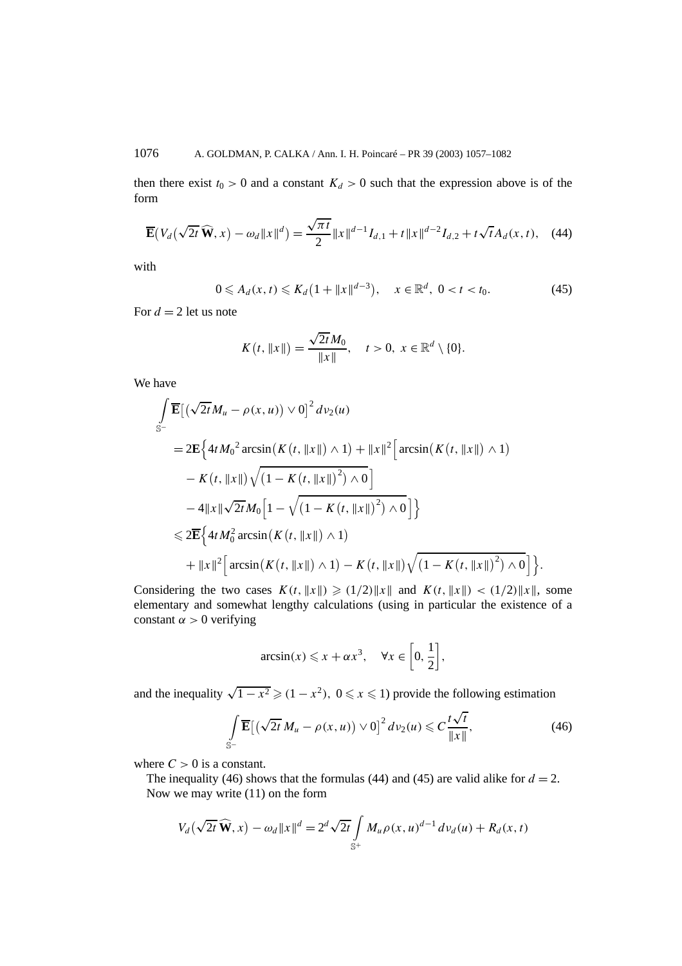then there exist  $t_0 > 0$  and a constant  $K_d > 0$  such that the expression above is of the form

$$
\overline{\mathbf{E}}(V_d(\sqrt{2t}\,\widehat{\mathbf{W}},x) - \omega_d \|x\|^d) = \frac{\sqrt{\pi t}}{2} \|x\|^{d-1} I_{d,1} + t \|x\|^{d-2} I_{d,2} + t \sqrt{t} A_d(x,t), \quad (44)
$$

with

$$
0 \leq A_d(x, t) \leq K_d \left( 1 + \|x\|^{d-3} \right), \quad x \in \mathbb{R}^d, \ 0 < t < t_0. \tag{45}
$$

For  $d = 2$  let us note

$$
K(t, ||x||) = \frac{\sqrt{2t}M_0}{||x||}, \quad t > 0, \ x \in \mathbb{R}^d \setminus \{0\}.
$$

We have

$$
\int_{S^{-}} \overline{\mathbf{E}} \left[ \left( \sqrt{2t} M_{u} - \rho(x, u) \right) \vee 0 \right]^{2} dv_{2}(u)
$$
\n
$$
= 2\mathbf{E} \left\{ 4t M_{0}^{2} \arcsin(K(t, ||x||) \wedge 1) + ||x||^{2} \left[ \arcsin(K(t, ||x||) \wedge 1) - K(t, ||x||) \sqrt{(1 - K(t, ||x||)^{2}) \wedge 0} \right] - 4||x||\sqrt{2t} M_{0} \left[ 1 - \sqrt{(1 - K(t, ||x||)^{2}) \wedge 0} \right] \right\}
$$
\n
$$
\leq 2\overline{\mathbf{E}} \left\{ 4t M_{0}^{2} \arcsin(K(t, ||x||) \wedge 1) + ||x||^{2} \left[ \arcsin(K(t, ||x||) \wedge 1) - K(t, ||x||) \sqrt{(1 - K(t, ||x||)^{2}) \wedge 0} \right] \right\}.
$$

Considering the two cases  $K(t, \|x\|) \ge (1/2) \|x\|$  and  $K(t, \|x\|) < (1/2) \|x\|$ , some elementary and somewhat lengthy calculations (using in particular the existence of a constant  $\alpha > 0$  verifying

$$
\arcsin(x) \leq x + \alpha x^3, \quad \forall x \in \left[0, \frac{1}{2}\right],
$$

and the inequality  $\sqrt{1-x^2} \geq (1-x^2)$ ,  $0 \leq x \leq 1$ ) provide the following estimation

$$
\int_{\mathbb{S}^{-}} \overline{\mathbf{E}} \left[ \left( \sqrt{2t} \, M_u - \rho(x, u) \right) \vee 0 \right]^2 dv_2(u) \leqslant C \frac{t \sqrt{t}}{\|x\|},\tag{46}
$$

where  $C > 0$  is a constant.

The inequality (46) shows that the formulas (44) and (45) are valid alike for  $d = 2$ . Now we may write (11) on the form

$$
V_d(\sqrt{2t}\,\widehat{\mathbf{W}},x)-\omega_d||x||^d=2^d\sqrt{2t}\int\limits_{\mathbb{S}^+}M_u\rho(x,u)^{d-1}\,dv_d(u)+R_d(x,t)
$$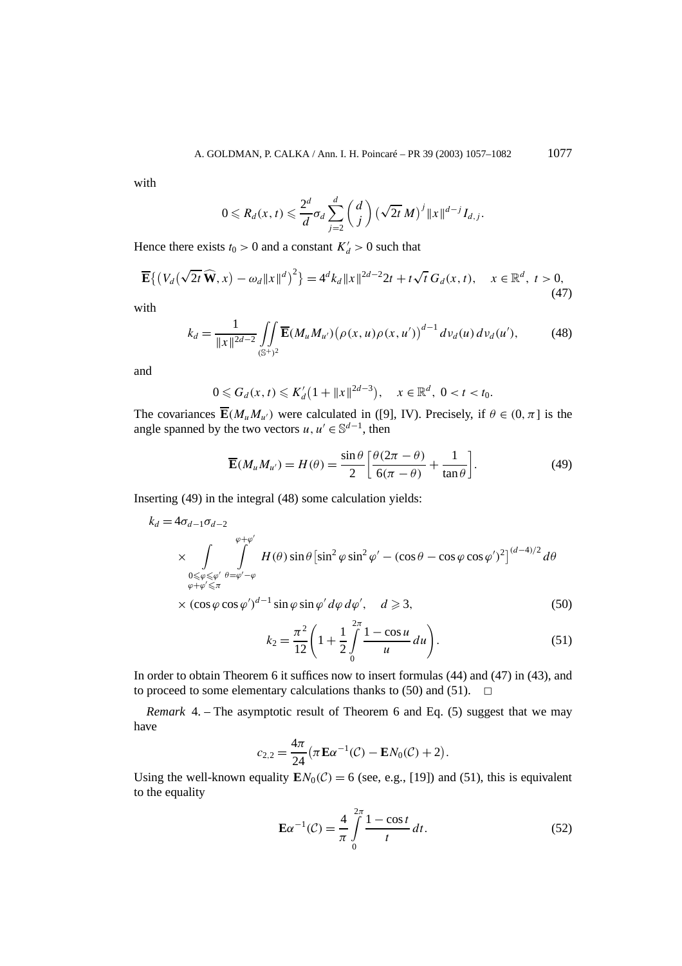with

$$
0 \leqslant R_d(x,t) \leqslant \frac{2^d}{d} \sigma_d \sum_{j=2}^d \binom{d}{j} \left(\sqrt{2t} M\right)^j \|x\|^{d-j} I_{d,j}.
$$

Hence there exists  $t_0 > 0$  and a constant  $K_d' > 0$  such that

$$
\overline{\mathbf{E}}\left\{\left(V_d\left(\sqrt{2t}\,\widehat{\mathbf{W}},x\right)-\omega_d\|x\|^d\right)^2\right\}=4^d k_d\|x\|^{2d-2}2t+t\sqrt{t}\,G_d(x,t),\quad x\in\mathbb{R}^d,\ t>0,\tag{47}
$$

with

$$
k_d = \frac{1}{\|x\|^{2d-2}} \iint\limits_{(\mathbb{S}^+)^2} \overline{\mathbf{E}}(M_u M_{u'}) \big(\rho(x, u)\rho(x, u')\big)^{d-1} \, dv_d(u) \, dv_d(u'),\tag{48}
$$

and

$$
0 \leq G_d(x, t) \leq K'_d \left(1 + \|x\|^{2d-3}\right), \quad x \in \mathbb{R}^d, \ 0 < t < t_0.
$$

The covariances  $\overline{\mathbf{E}}(M_uM_{u'})$  were calculated in ([9], IV). Precisely, if  $\theta \in (0, \pi]$  is the angle spanned by the two vectors  $u, u' \in \mathbb{S}^{d-1}$ , then

$$
\overline{\mathbf{E}}(M_u M_{u'}) = H(\theta) = \frac{\sin \theta}{2} \left[ \frac{\theta (2\pi - \theta)}{6(\pi - \theta)} + \frac{1}{\tan \theta} \right].
$$
 (49)

Inserting (49) in the integral (48) some calculation yields:

$$
k_d = 4\sigma_{d-1}\sigma_{d-2}
$$
  
\n
$$
\times \int_{\substack{0 \leq \varphi \leq \varphi' \\ \varphi + \varphi' \leq \pi}} \int_{\varphi + \varphi' \leq \pi}^{\varphi + \varphi'} H(\theta) \sin \theta \left[ \sin^2 \varphi \sin^2 \varphi' - (\cos \theta - \cos \varphi \cos \varphi')^2 \right]^{(d-4)/2} d\theta
$$
  
\n
$$
\times (\cos \varphi \cos \varphi')^{d-1} \sin \varphi \sin \varphi' d\varphi d\varphi', \quad d \geq 3,
$$
\n(50)

$$
k_2 = \frac{\pi^2}{12} \left( 1 + \frac{1}{2} \int_0^{2\pi} \frac{1 - \cos u}{u} du \right).
$$
 (51)

In order to obtain Theorem 6 it suffices now to insert formulas (44) and (47) in (43), and to proceed to some elementary calculations thanks to (50) and (51).  $\Box$ 

*Remark* 4. – The asymptotic result of Theorem 6 and Eq. (5) suggest that we may have

$$
c_{2,2} = \frac{4\pi}{24} (\pi \mathbf{E} \alpha^{-1}(\mathcal{C}) - \mathbf{E} N_0(\mathcal{C}) + 2).
$$

Using the well-known equality  $\mathbf{E}N_0(\mathcal{C}) = 6$  (see, e.g., [19]) and (51), this is equivalent to the equality

$$
\mathbf{E}\alpha^{-1}(\mathcal{C}) = \frac{4}{\pi} \int_{0}^{2\pi} \frac{1 - \cos t}{t} dt.
$$
 (52)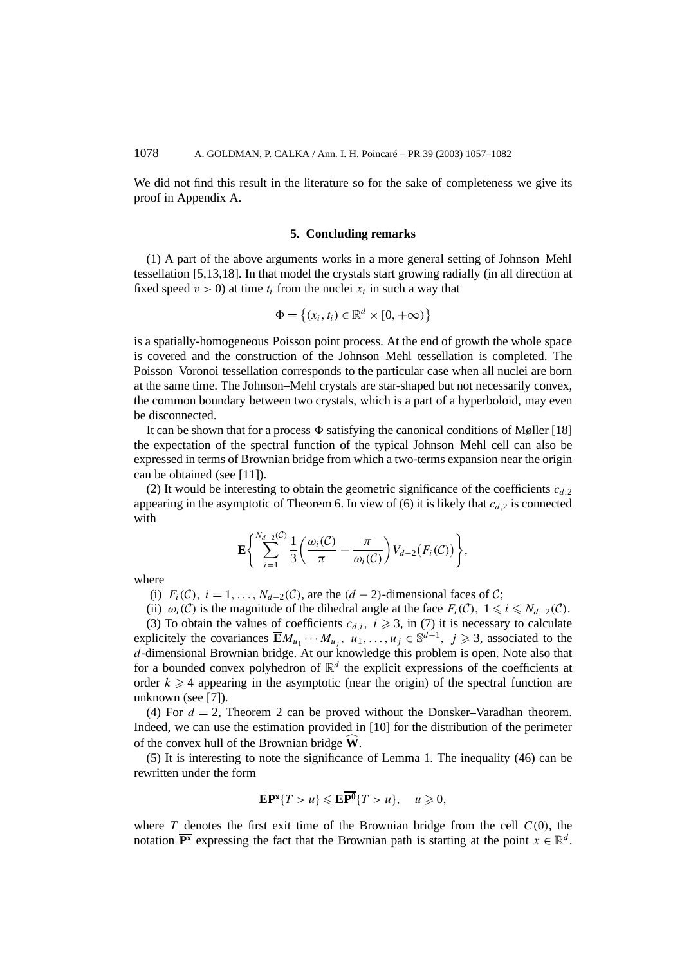We did not find this result in the literature so for the sake of completeness we give its proof in Appendix A.

## **5. Concluding remarks**

(1) A part of the above arguments works in a more general setting of Johnson–Mehl tessellation [5,13,18]. In that model the crystals start growing radially (in all direction at fixed speed  $v > 0$ ) at time  $t_i$  from the nuclei  $x_i$  in such a way that

$$
\Phi = \{(x_i, t_i) \in \mathbb{R}^d \times [0, +\infty)\}
$$

is a spatially-homogeneous Poisson point process. At the end of growth the whole space is covered and the construction of the Johnson–Mehl tessellation is completed. The Poisson–Voronoi tessellation corresponds to the particular case when all nuclei are born at the same time. The Johnson–Mehl crystals are star-shaped but not necessarily convex, the common boundary between two crystals, which is a part of a hyperboloid, may even be disconnected.

It can be shown that for a process  $\Phi$  satisfying the canonical conditions of Møller [18] the expectation of the spectral function of the typical Johnson–Mehl cell can also be expressed in terms of Brownian bridge from which a two-terms expansion near the origin can be obtained (see [11]).

(2) It would be interesting to obtain the geometric significance of the coefficients  $c_{d,2}$ appearing in the asymptotic of Theorem 6. In view of (6) it is likely that  $c_{d,2}$  is connected with

$$
\mathbf{E}\Bigg\{\sum_{i=1}^{N_{d-2}(\mathcal{C})}\frac{1}{3}\bigg(\frac{\omega_i(\mathcal{C})}{\pi}-\frac{\pi}{\omega_i(\mathcal{C})}\bigg)V_{d-2}(F_i(\mathcal{C}))\Bigg\},\,
$$

where

- (i)  $F_i(\mathcal{C})$ ,  $i = 1, \ldots, N_{d-2}(\mathcal{C})$ , are the  $(d-2)$ -dimensional faces of  $\mathcal{C}$ ;
- (ii)  $\omega_i(\mathcal{C})$  is the magnitude of the dihedral angle at the face  $F_i(\mathcal{C})$ ,  $1 \le i \le N_{d-2}(\mathcal{C})$ .

(3) To obtain the values of coefficients  $c_{d,i}$ ,  $i \geq 3$ , in (7) it is necessary to calculate explicitely the covariances  $\overline{E}M_{u_1}\cdots M_{u_j}$ ,  $u_1,\ldots,u_j\in\mathbb{S}^{d-1}$ ,  $j\geq 3$ , associated to the *d*-dimensional Brownian bridge. At our knowledge this problem is open. Note also that for a bounded convex polyhedron of  $\mathbb{R}^d$  the explicit expressions of the coefficients at order  $k \geq 4$  appearing in the asymptotic (near the origin) of the spectral function are unknown (see [7]).

(4) For  $d = 2$ , Theorem 2 can be proved without the Donsker–Varadhan theorem. Indeed, we can use the estimation provided in [10] for the distribution of the perimeter of the convex hull of the Brownian bridge **W**.

(5) It is interesting to note the significance of Lemma 1. The inequality (46) can be rewritten under the form

$$
\mathbf{E}\overline{\mathbf{P}^{\mathbf{x}}}\{T>u\} \leqslant \mathbf{E}\overline{\mathbf{P}^{\mathbf{0}}}\{T>u\}, \quad u \geqslant 0,
$$

where *T* denotes the first exit time of the Brownian bridge from the cell  $C(0)$ , the notation  $\overline{P^x}$  expressing the fact that the Brownian path is starting at the point  $x \in \mathbb{R}^d$ .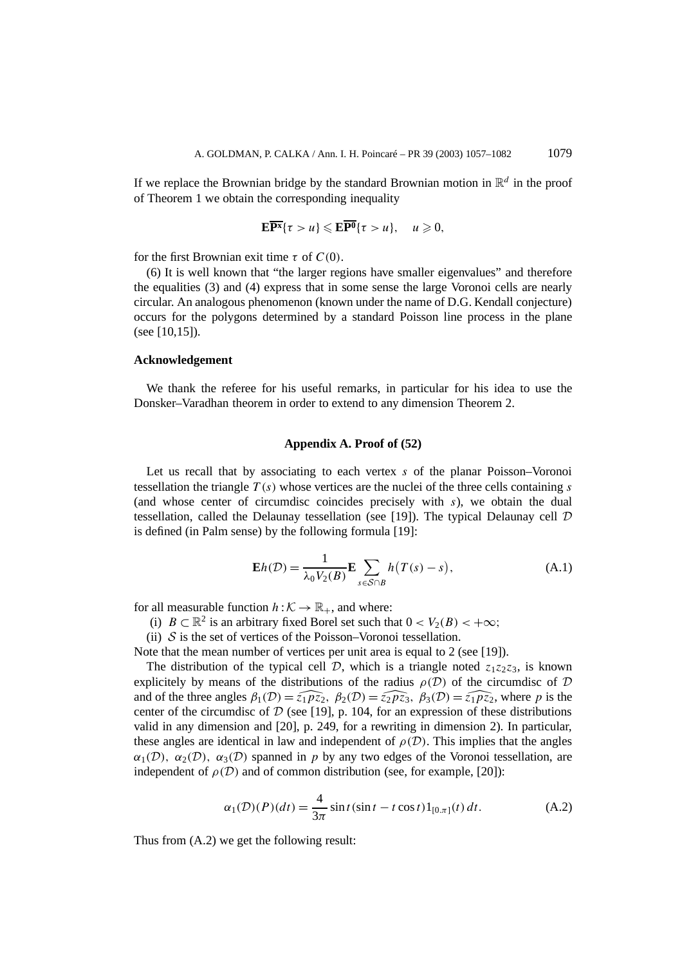If we replace the Brownian bridge by the standard Brownian motion in  $\mathbb{R}^d$  in the proof of Theorem 1 we obtain the corresponding inequality

$$
\mathbf{E}\overline{\mathbf{P}^{\mathbf{x}}} \{\tau > u\} \leqslant \mathbf{E}\overline{\mathbf{P}^{\mathbf{0}}} \{\tau > u\}, \quad u \geqslant 0,
$$

for the first Brownian exit time *τ* of *C(*0*)*.

(6) It is well known that "the larger regions have smaller eigenvalues" and therefore the equalities (3) and (4) express that in some sense the large Voronoi cells are nearly circular. An analogous phenomenon (known under the name of D.G. Kendall conjecture) occurs for the polygons determined by a standard Poisson line process in the plane (see [10,15]).

#### **Acknowledgement**

We thank the referee for his useful remarks, in particular for his idea to use the Donsker–Varadhan theorem in order to extend to any dimension Theorem 2.

## **Appendix A. Proof of (52)**

Let us recall that by associating to each vertex *s* of the planar Poisson–Voronoi tessellation the triangle  $T(s)$  whose vertices are the nuclei of the three cells containing *s* (and whose center of circumdisc coincides precisely with *s*), we obtain the dual tessellation, called the Delaunay tessellation (see [19]). The typical Delaunay cell  $D$ is defined (in Palm sense) by the following formula [19]:

$$
\mathbf{E}h(\mathcal{D}) = \frac{1}{\lambda_0 V_2(B)} \mathbf{E} \sum_{s \in \mathcal{S} \cap B} h\big(T(s) - s\big),\tag{A.1}
$$

for all measurable function  $h : \mathcal{K} \to \mathbb{R}_+$ , and where:

(i)  $B \subset \mathbb{R}^2$  is an arbitrary fixed Borel set such that  $0 < V_2(B) < +\infty$ ;

(ii)  $S$  is the set of vertices of the Poisson–Voronoi tessellation.

Note that the mean number of vertices per unit area is equal to 2 (see [19]).

The distribution of the typical cell  $D$ , which is a triangle noted  $z_1z_2z_3$ , is known explicitely by means of the distributions of the radius  $\rho(\mathcal{D})$  of the circumdisc of  $\mathcal D$ and of the three angles  $\beta_1(\mathcal{D}) = \widehat{z_1 \mathcal{p} z_2}$ ,  $\beta_2(\mathcal{D}) = \widehat{z_2 \mathcal{p} z_3}$ ,  $\beta_3(\mathcal{D}) = \widehat{z_1 \mathcal{p} z_2}$ , where *p* is the center of the circumdisc of  $D$  (see [19], p. 104, for an expression of these distributions valid in any dimension and [20], p. 249, for a rewriting in dimension 2). In particular, these angles are identical in law and independent of  $\rho(\mathcal{D})$ . This implies that the angles  $\alpha_1(\mathcal{D})$ ,  $\alpha_2(\mathcal{D})$ ,  $\alpha_3(\mathcal{D})$  spanned in *p* by any two edges of the Voronoi tessellation, are independent of  $\rho(\mathcal{D})$  and of common distribution (see, for example, [20]):

$$
\alpha_1(\mathcal{D})(P)(dt) = \frac{4}{3\pi} \sin t (\sin t - t \cos t) 1_{[0,\pi]}(t) dt.
$$
 (A.2)

Thus from (A.2) we get the following result: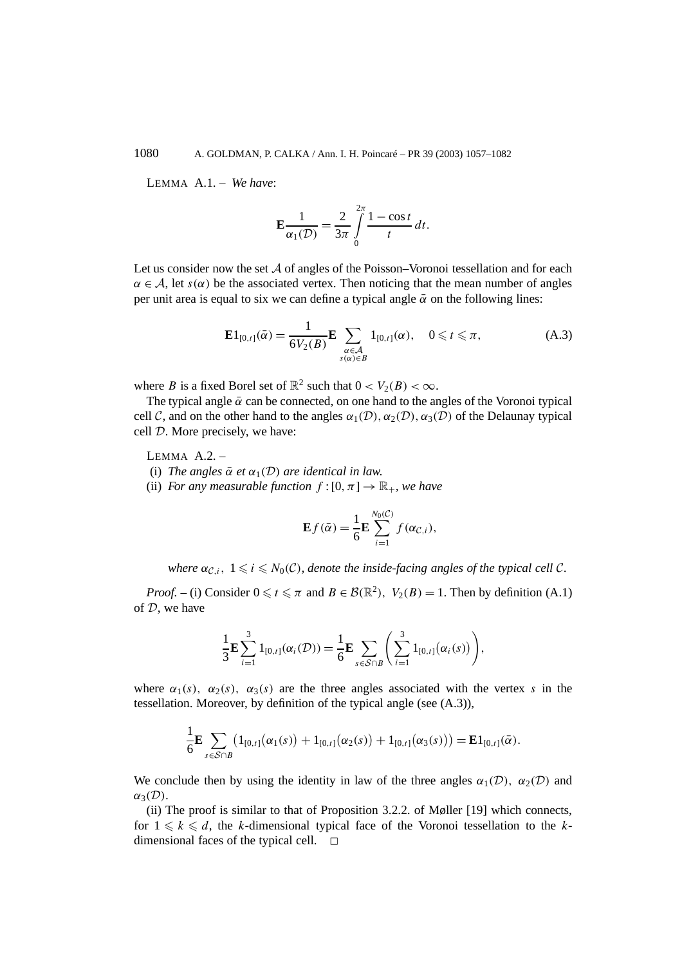LEMMA A.1. – *We have*:

$$
\mathbf{E}\frac{1}{\alpha_1(\mathcal{D})} = \frac{2}{3\pi} \int\limits_0^{2\pi} \frac{1 - \cos t}{t} dt.
$$

Let us consider now the set  $A$  of angles of the Poisson–Voronoi tessellation and for each  $\alpha \in A$ , let *s*( $\alpha$ ) be the associated vertex. Then noticing that the mean number of angles per unit area is equal to six we can define a typical angle  $\bar{\alpha}$  on the following lines:

$$
\mathbf{E}1_{[0,t]}(\bar{\alpha}) = \frac{1}{6V_2(B)} \mathbf{E} \sum_{\substack{\alpha \in \mathcal{A} \\ s(\alpha) \in B}} 1_{[0,t]}(\alpha), \quad 0 \leqslant t \leqslant \pi,
$$
 (A.3)

where *B* is a fixed Borel set of  $\mathbb{R}^2$  such that  $0 < V_2(B) < \infty$ .

The typical angle  $\bar{\alpha}$  can be connected, on one hand to the angles of the Voronoi typical cell C, and on the other hand to the angles  $\alpha_1(\mathcal{D})$ ,  $\alpha_2(\mathcal{D})$ ,  $\alpha_3(\mathcal{D})$  of the Delaunay typical cell D. More precisely, we have:

LEMMA A.2. –

(i) *The angles*  $\bar{\alpha}$  *et*  $\alpha_1(\mathcal{D})$  *are identical in law.* 

(ii) *For any measurable function*  $f:[0,\pi] \to \mathbb{R}_+$ *, we have* 

$$
\mathbf{E}f(\bar{\alpha}) = \frac{1}{6}\mathbf{E}\sum_{i=1}^{N_0(\mathcal{C})} f(\alpha_{\mathcal{C},i}),
$$

*where*  $\alpha_{\mathcal{C},i}$ ,  $1 \leq i \leq N_0(\mathcal{C})$ , denote the inside-facing angles of the typical cell  $\mathcal{C}$ .

*Proof.* – (i) Consider  $0 \le t \le \pi$  and  $B \in \mathcal{B}(\mathbb{R}^2)$ ,  $V_2(B) = 1$ . Then by definition (A.1) of  $D$ , we have

$$
\frac{1}{3}\mathbf{E}\sum_{i=1}^{3}1_{[0,t]}(\alpha_i(\mathcal{D}))=\frac{1}{6}\mathbf{E}\sum_{s\in\mathcal{S}\cap B}\left(\sum_{i=1}^{3}1_{[0,t]}(\alpha_i(s))\right),\,
$$

where  $\alpha_1(s)$ ,  $\alpha_2(s)$ ,  $\alpha_3(s)$  are the three angles associated with the vertex *s* in the tessellation. Moreover, by definition of the typical angle (see (A.3)),

$$
\frac{1}{6} \mathbf{E} \sum_{s \in \mathcal{S} \cap B} (1_{[0,t]}(\alpha_1(s)) + 1_{[0,t]}(\alpha_2(s)) + 1_{[0,t]}(\alpha_3(s))) = \mathbf{E} 1_{[0,t]}(\bar{\alpha}).
$$

We conclude then by using the identity in law of the three angles  $\alpha_1(\mathcal{D})$ ,  $\alpha_2(\mathcal{D})$  and  $α_3(D)$ .

(ii) The proof is similar to that of Proposition 3.2.2. of Møller [19] which connects, for  $1 \leq k \leq d$ , the *k*-dimensional typical face of the Voronoi tessellation to the *k*dimensional faces of the typical cell.  $\Box$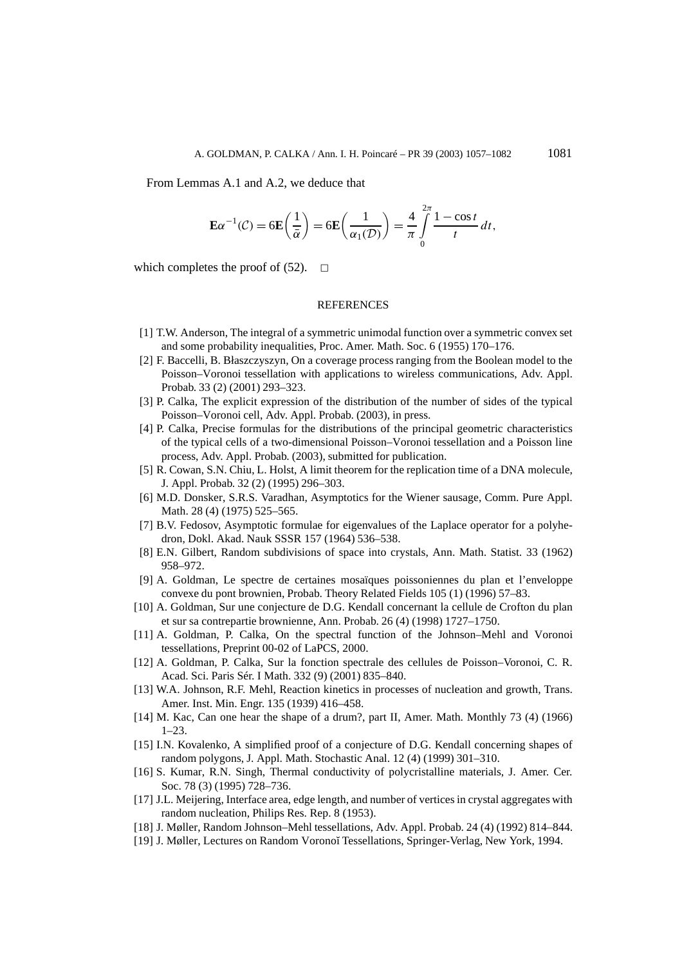From Lemmas A.1 and A.2, we deduce that

$$
\mathbf{E}\alpha^{-1}(\mathcal{C}) = 6\mathbf{E}\left(\frac{1}{\bar{\alpha}}\right) = 6\mathbf{E}\left(\frac{1}{\alpha_1(\mathcal{D})}\right) = \frac{4}{\pi}\int_{0}^{2\pi}\frac{1-\cos t}{t}\,dt,
$$

which completes the proof of  $(52)$ .  $\Box$ 

#### REFERENCES

- [1] T.W. Anderson, The integral of a symmetric unimodal function over a symmetric convex set and some probability inequalities, Proc. Amer. Math. Soc. 6 (1955) 170–176.
- [2] F. Baccelli, B. Błaszczyszyn, On a coverage process ranging from the Boolean model to the Poisson–Voronoi tessellation with applications to wireless communications, Adv. Appl. Probab. 33 (2) (2001) 293–323.
- [3] P. Calka, The explicit expression of the distribution of the number of sides of the typical Poisson–Voronoi cell, Adv. Appl. Probab. (2003), in press.
- [4] P. Calka, Precise formulas for the distributions of the principal geometric characteristics of the typical cells of a two-dimensional Poisson–Voronoi tessellation and a Poisson line process, Adv. Appl. Probab. (2003), submitted for publication.
- [5] R. Cowan, S.N. Chiu, L. Holst, A limit theorem for the replication time of a DNA molecule, J. Appl. Probab. 32 (2) (1995) 296–303.
- [6] M.D. Donsker, S.R.S. Varadhan, Asymptotics for the Wiener sausage, Comm. Pure Appl. Math. 28 (4) (1975) 525-565.
- [7] B.V. Fedosov, Asymptotic formulae for eigenvalues of the Laplace operator for a polyhedron, Dokl. Akad. Nauk SSSR 157 (1964) 536–538.
- [8] E.N. Gilbert, Random subdivisions of space into crystals, Ann. Math. Statist. 33 (1962) 958–972.
- [9] A. Goldman, Le spectre de certaines mosaïques poissoniennes du plan et l'enveloppe convexe du pont brownien, Probab. Theory Related Fields 105 (1) (1996) 57–83.
- [10] A. Goldman, Sur une conjecture de D.G. Kendall concernant la cellule de Crofton du plan et sur sa contrepartie brownienne, Ann. Probab. 26 (4) (1998) 1727–1750.
- [11] A. Goldman, P. Calka, On the spectral function of the Johnson–Mehl and Voronoi tessellations, Preprint 00-02 of LaPCS, 2000.
- [12] A. Goldman, P. Calka, Sur la fonction spectrale des cellules de Poisson–Voronoi, C. R. Acad. Sci. Paris Sér. I Math. 332 (9) (2001) 835–840.
- [13] W.A. Johnson, R.F. Mehl, Reaction kinetics in processes of nucleation and growth, Trans. Amer. Inst. Min. Engr. 135 (1939) 416–458.
- [14] M. Kac, Can one hear the shape of a drum?, part II, Amer. Math. Monthly 73 (4) (1966)  $1 - 23$
- [15] I.N. Kovalenko, A simplified proof of a conjecture of D.G. Kendall concerning shapes of random polygons, J. Appl. Math. Stochastic Anal. 12 (4) (1999) 301–310.
- [16] S. Kumar, R.N. Singh, Thermal conductivity of polycristalline materials, J. Amer. Cer. Soc. 78 (3) (1995) 728–736.
- [17] J.L. Meijering, Interface area, edge length, and number of vertices in crystal aggregates with random nucleation, Philips Res. Rep. 8 (1953).
- [18] J. Møller, Random Johnson–Mehl tessellations, Adv. Appl. Probab. 24 (4) (1992) 814–844.
- [19] J. Møller, Lectures on Random Vorono˘ı Tessellations, Springer-Verlag, New York, 1994.